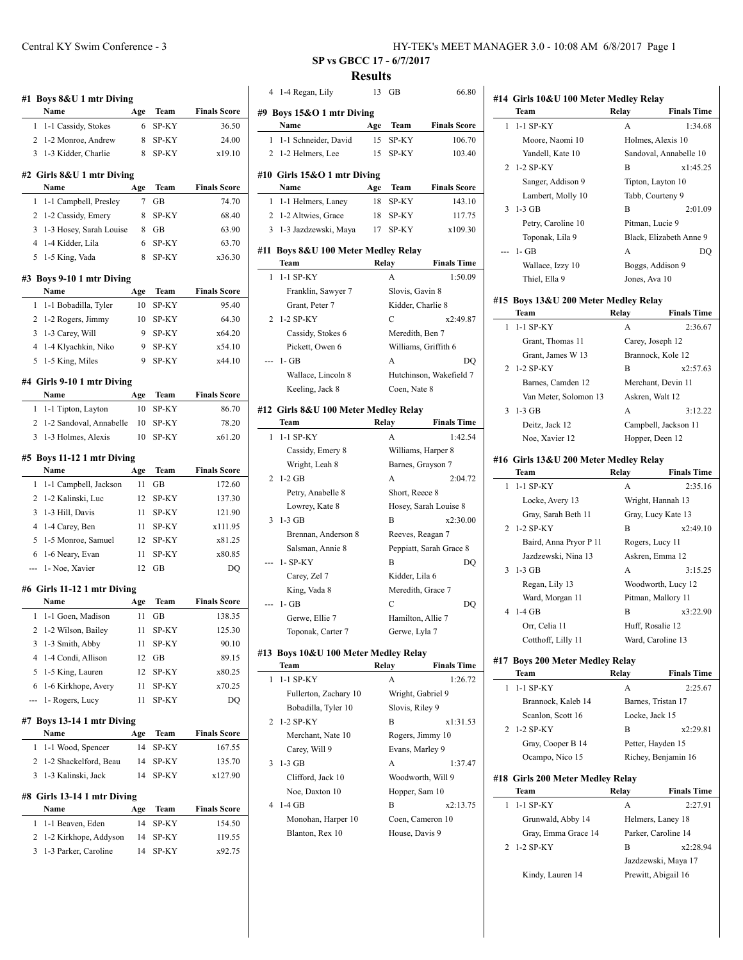|        | Name                                                        | Age       | Team           | <b>Finals Score</b>                     |
|--------|-------------------------------------------------------------|-----------|----------------|-----------------------------------------|
| 1      | 1-1 Cassidy, Stokes                                         | 6         | SP-KY          | 36.50                                   |
| 2      | 1-2 Monroe, Andrew                                          | 8         | SP-KY          | 24.00                                   |
| 3      | 1-3 Kidder, Charlie                                         | 8         | SP-KY          | x19.10                                  |
|        | #2 Girls 8&U 1 mtr Diving                                   |           |                |                                         |
|        | Name                                                        | Age       | Team           | <b>Finals Score</b>                     |
| 1      | 1-1 Campbell, Presley                                       | 7         | GВ             | 74.70                                   |
| 2      | 1-2 Cassidy, Emery                                          | 8         | SP-KY          | 68.40                                   |
| 3      | 1-3 Hosey, Sarah Louise                                     | 8         | GВ             | 63.90                                   |
| 4      | 1-4 Kidder, Lila                                            | 6         | SP-KY          | 63.70                                   |
| 5      | 1-5 King, Vada                                              | 8         | SP-KY          | x36.30                                  |
|        | #3 Boys 9-10 1 mtr Diving                                   |           |                |                                         |
|        | Name                                                        | Age       | Team           | <b>Finals Score</b>                     |
| 1      | 1-1 Bobadilla, Tyler                                        | 10        | SP-KY          | 95.40                                   |
| 2      | 1-2 Rogers, Jimmy                                           | 10        | SP-KY          | 64.30                                   |
| 3      | 1-3 Carey, Will                                             | 9         | SP-KY          | x64.20                                  |
| 4      | 1-4 Klyachkin, Niko                                         | 9         | SP-KY          | x54.10                                  |
| 5      | 1-5 King, Miles                                             | 9         | SP-KY          | x44.10                                  |
|        | #4 Girls 9-10 1 mtr Diving                                  |           |                |                                         |
|        | Name                                                        | Age       | Team           | <b>Finals Score</b>                     |
| 1      | 1-1 Tipton, Layton                                          | 10        | SP-KY          | 86.70                                   |
| 2<br>3 | 1-2 Sandoval, Annabelle<br>1-3 Holmes, Alexis               | 10<br>10  | SP-KY<br>SP-KY | 78.20<br>x61.20                         |
| 1      | #5 Boys 11-12 1 mtr Diving<br>Name<br>1-1 Campbell, Jackson | Age<br>11 | Team<br>GВ     | <b>Finals Score</b><br>172.60           |
| 2      | 1-2 Kalinski, Luc                                           | 12        | SP-KY          | 137.30                                  |
| 3      | 1-3 Hill, Davis                                             | 11        | SP-KY          | 121.90                                  |
| 4      | 1-4 Carey, Ben                                              | 11        | SP-KY          | x111.95                                 |
| 5      | 1-5 Monroe, Samuel                                          | 12        | SP-KY          | x81.25                                  |
| 6      | 1-6 Neary, Evan                                             | 11        | SP-KY          | x80.85                                  |
| ---    | 1- Noe, Xavier                                              | 12        | GВ             | DQ                                      |
|        | #6 Girls 11-12 1 mtr Diving                                 |           |                |                                         |
|        | Name                                                        | Age       | Team           | <b>Finals Score</b>                     |
| 1      | 1-1 Goen, Madison                                           | 11        | GВ             | 138.35                                  |
| 2      | 1-2 Wilson, Bailey                                          | 11        | SP-KY          | 125.30                                  |
| 3      | 1-3 Smith, Abby                                             | 11        | SP-KY          | 90.10                                   |
|        | 1-4 Condi, Allison                                          |           |                | 89.15                                   |
| 4      |                                                             | 12        | GВ             |                                         |
| 5      | 1-5 King, Lauren                                            | 12        | SP-KY          |                                         |
| 6      | 1-6 Kirkhope, Avery                                         | 11        | SP-KY          |                                         |
|        | 1- Rogers, Lucy                                             | 11        | SP-KY          | x80.25<br>x70.25<br>DQ                  |
| ---    | #7 Boys 13-14 1 mtr Diving                                  |           |                |                                         |
|        | Name                                                        | Age       | Team           |                                         |
| 1      | 1-1 Wood, Spencer                                           | 14        | SP-KY          |                                         |
| 2<br>3 | 1-2 Shackelford, Beau                                       | 14<br>14  | SP-KY          | <b>Finals Score</b><br>167.55<br>135.70 |
|        | 1-3 Kalinski, Jack                                          |           | SP-KY          | x127.90                                 |
|        | #8 Girls 13-14 1 mtr Diving<br>Name                         | Age       | Team           |                                         |
| 1      | 1-1 Beaven, Eden                                            | 14        | SP-KY          |                                         |
| 2      | 1-2 Kirkhope, Addyson                                       | 14        | SP-KY          | <b>Finals Score</b><br>154.50<br>119.55 |

**SP vs GBCC 17 - 6/7/2017**

# **Results**

| 4 | 1-4 Regan, Lily                          | 13        | GВ                     | 66.80                         |
|---|------------------------------------------|-----------|------------------------|-------------------------------|
|   | #9 Boys 15&O 1 mtr Diving                |           |                        |                               |
|   | Name                                     | Age       | Team                   | <b>Finals Score</b>           |
| 1 | 1-1 Schneider, David                     | 15        | SP-KY                  | 106.70                        |
| 2 | 1-2 Helmers, Lee                         | 15        | SP-KY                  | 103.40                        |
|   |                                          |           |                        |                               |
|   | #10 Girls 15&O 1 mtr Diving<br>Name      |           |                        |                               |
| 1 |                                          | Age<br>18 | Team<br>SP-KY          | <b>Finals Score</b><br>143.10 |
| 2 | 1-1 Helmers, Laney<br>1-2 Altwies, Grace | 18        | SP-KY                  | 117.75                        |
| 3 | 1-3 Jazdzewski, Maya                     | 17        | SP-KY                  | x109.30                       |
|   |                                          |           |                        |                               |
|   | #11 Boys 8&U 100 Meter Medley Relay      |           |                        |                               |
|   | Team                                     |           | Relay                  | <b>Finals Time</b>            |
| 1 | $1-1$ SP-KY                              |           | A                      | 1:50.09                       |
|   | Franklin, Sawyer 7                       |           | Slovis, Gavin 8        |                               |
|   | Grant, Peter 7                           |           | Kidder, Charlie 8      |                               |
| 2 | 1-2 SP-KY                                |           | C                      | x2:49.87                      |
|   | Cassidy, Stokes 6                        |           | Meredith, Ben 7        |                               |
|   | Pickett, Owen 6                          |           |                        | Williams, Griffith 6          |
|   | 1- GB                                    |           | A                      | DO                            |
|   | Wallace, Lincoln 8                       |           |                        | Hutchinson, Wakefield 7       |
|   | Keeling, Jack 8                          |           | Coen, Nate 8           |                               |
|   | #12 Girls 8&U 100 Meter Medley Relay     |           |                        |                               |
|   | Team                                     |           | Relay                  | <b>Finals Time</b>            |
| 1 | 1-1 SP-KY                                |           | A                      | 1:42.54                       |
|   | Cassidy, Emery 8                         |           | Williams, Harper 8     |                               |
|   | Wright, Leah 8                           |           | Barnes, Grayson 7      |                               |
| 2 | $1-2$ GB                                 |           | A                      | 2:04.72                       |
|   | Petry, Anabelle 8                        |           | Short, Reece 8         |                               |
|   | Lowrey, Kate 8                           |           |                        | Hosey, Sarah Louise 8         |
| 3 | $1-3$ GB                                 |           | B                      | x2:30.00                      |
|   | Brennan, Anderson 8                      |           | Reeves, Reagan 7       |                               |
|   | Salsman, Annie 8                         |           |                        | Peppiatt, Sarah Grace 8       |
|   | 1- SP-KY                                 |           | B                      | DO                            |
|   | Carey, Zel 7                             |           | Kidder, Lila 6         |                               |
|   | King, Vada 8<br>1- GB                    |           | Meredith, Grace 7<br>С | DQ                            |
|   | Gerwe, Ellie 7                           |           | Hamilton, Allie 7      |                               |
|   | Toponak, Carter 7                        |           | Gerwe, Lyla 7          |                               |
|   |                                          |           |                        |                               |
|   | #13 Boys 10&U 100 Meter Medley Relay     |           |                        |                               |
|   | Team                                     | Relay     |                        | <b>Finals Time</b>            |
| 1 | 1-1 SP-KY                                |           | A                      | 1:26.72                       |
|   | Fullerton, Zachary 10                    |           | Wright, Gabriel 9      |                               |
|   | Bobadilla, Tyler 10                      |           | Slovis, Riley 9        |                               |
| 2 | 1-2 SP-KY                                |           | B                      | x1:31.53                      |
|   | Merchant, Nate 10                        |           | Rogers, Jimmy 10       |                               |
| 3 | Carey, Will 9                            |           | Evans, Marley 9        |                               |
|   | $1-3$ GB                                 |           | А<br>Woodworth, Will 9 | 1:37.47                       |
|   | Clifford, Jack 10                        |           |                        |                               |

Noe, Daxton 10 Hopper, Sam 10 4 1-4 GB B x2:13.75 Monohan, Harper 10 Coen, Cameron 10 Blanton, Rex 10 House, Davis 9

|                | #14 Girls 10&U 100 Meter Medley Relay<br>Team | Relay         | <b>Finals Time</b>                         |
|----------------|-----------------------------------------------|---------------|--------------------------------------------|
| 1              | $1-1$ SP-KY                                   | A             | 1:34.68                                    |
|                | Moore, Naomi 10                               |               | Holmes, Alexis 10                          |
|                | Yandell, Kate 10                              |               | Sandoval, Annabelle 10                     |
| $\overline{c}$ | 1-2 SP-KY                                     | B             | x1:45.25                                   |
|                |                                               |               |                                            |
|                | Sanger, Addison 9                             |               | Tipton, Layton 10                          |
|                | Lambert, Molly 10                             |               | Tabb, Courteny 9                           |
| 3              | $1-3$ GB                                      | B             | 2:01.09                                    |
|                | Petry, Caroline 10                            |               | Pitman, Lucie 9                            |
|                | Toponak, Lila 9                               |               | Black, Elizabeth Anne 9                    |
|                | 1- GB                                         | A             | DO                                         |
|                | Wallace, Izzy 10                              |               | Boggs, Addison 9                           |
|                | Thiel, Ella 9                                 | Jones, Ava 10 |                                            |
|                | #15 Boys 13&U 200 Meter Medley Relay          |               |                                            |
|                | Team                                          | Relay         | <b>Finals Time</b>                         |
| 1              | $1-1$ SP-KY                                   | A             | 2:36.67                                    |
|                | Grant, Thomas 11                              |               | Carey, Joseph 12                           |
|                | Grant. James W 13                             |               | Brannock, Kole 12                          |
| 2              | $1-2$ SP-KY                                   | В             | x2:57.63                                   |
|                | Barnes, Camden 12                             |               | Merchant, Devin 11                         |
|                | Van Meter, Solomon 13                         |               | Askren, Walt 12                            |
| 3              | $1-3$ GB                                      | А             | 3:12.22                                    |
|                | Deitz, Jack 12                                |               | Campbell, Jackson 11                       |
|                | Noe, Xavier 12                                |               | Hopper, Deen 12                            |
|                | #16 Girls 13&U 200 Meter Medley Relay         |               |                                            |
|                | Team                                          | Relay         | <b>Finals Time</b>                         |
| 1              | $1-1$ SP-KY                                   | A             | 2:35.16                                    |
|                | Locke, Avery 13                               |               | Wright, Hannah 13                          |
|                | Gray, Sarah Beth 11                           |               | Gray, Lucy Kate 13                         |
| 2              | 1-2 SP-KY                                     | B             | x2:49.10                                   |
|                | Baird, Anna Pryor P 11                        |               | Rogers, Lucy 11                            |
|                | Jazdzewski, Nina 13                           |               | Askren, Emma 12                            |
| 3              | $1-3$ GB                                      | A             | 3:15.25                                    |
|                | Regan, Lily 13                                |               | Woodworth, Lucy 12                         |
|                | Ward, Morgan 11                               |               | Pitman, Mallory 11                         |
| 4              | $1-4$ GB                                      | B             | x3:22.90                                   |
|                | Orr, Celia 11                                 |               | Huff, Rosalie 12                           |
|                | Cotthoff, Lilly 11                            |               | Ward, Caroline 13                          |
|                |                                               |               |                                            |
|                | #17 Boys 200 Meter Medley Relay<br>Team       | Relay         | <b>Finals Time</b>                         |
| 1              | 1-1 SP-KY                                     | A             | 2:25.67                                    |
|                | Brannock, Kaleb 14                            |               |                                            |
|                | Scanlon, Scott 16                             |               | Barnes, Tristan 17<br>Locke, Jack 15       |
| 2              | 1-2 SP-KY                                     | B             | x2:29.81                                   |
|                |                                               |               |                                            |
|                | Gray, Cooper B 14                             |               | Petter, Hayden 15                          |
|                | Ocampo, Nico 15                               |               | Richey, Benjamin 16                        |
|                | #18 Girls 200 Meter Medley Relay              |               |                                            |
|                | Team                                          | Relay         | <b>Finals Time</b>                         |
| 1              | 1-1 SP-KY                                     | A             | 2:27.91                                    |
|                | Grunwald, Abby 14                             |               | Helmers, Laney 18                          |
|                | Gray, Emma Grace 14                           |               | Parker, Caroline 14                        |
| 2              | 1-2 SP-KY                                     | B             | x2:28.94                                   |
|                | Kindy, Lauren 14                              |               | Jazdzewski, Maya 17<br>Prewitt, Abigail 16 |
|                |                                               |               |                                            |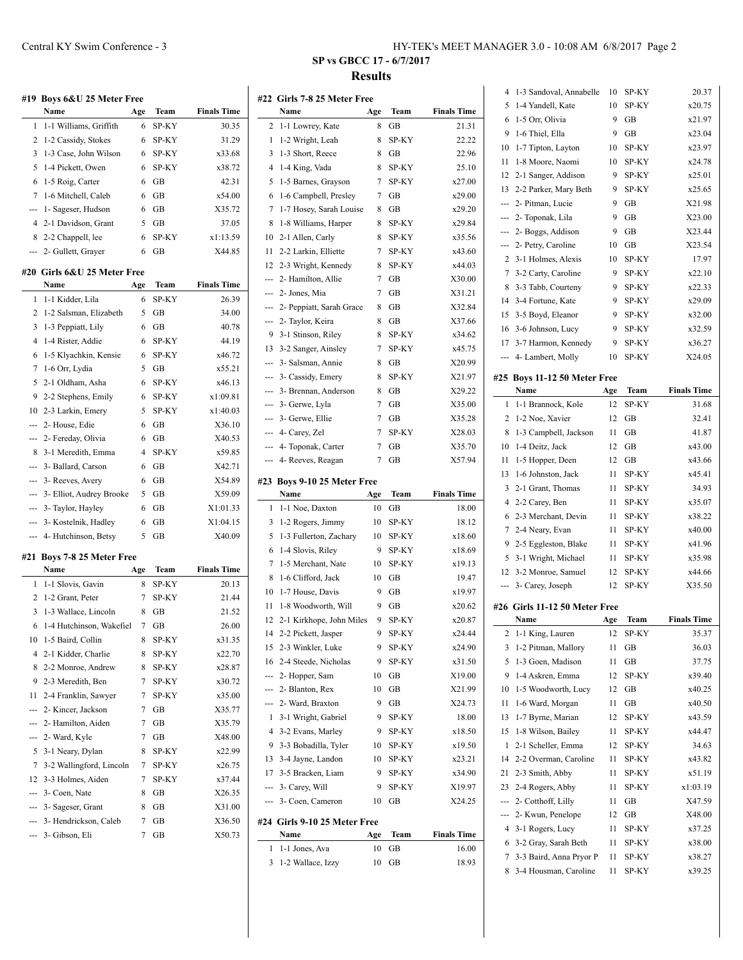|                                                                                                                                                                                                                                                                                                                                                                                                                                                                            | #19 Boys 6&U 25 Meter Free<br>Name | Age | Team  | <b>Finals Time</b> |
|----------------------------------------------------------------------------------------------------------------------------------------------------------------------------------------------------------------------------------------------------------------------------------------------------------------------------------------------------------------------------------------------------------------------------------------------------------------------------|------------------------------------|-----|-------|--------------------|
| 1                                                                                                                                                                                                                                                                                                                                                                                                                                                                          | 1-1 Williams, Griffith             | 6   | SP-KY | 30.35              |
| 2                                                                                                                                                                                                                                                                                                                                                                                                                                                                          | 1-2 Cassidy, Stokes                | 6   | SP-KY | 31.29              |
| 3                                                                                                                                                                                                                                                                                                                                                                                                                                                                          | 1-3 Case, John Wilson              | 6   | SP-KY | x33.68             |
| 5                                                                                                                                                                                                                                                                                                                                                                                                                                                                          | 1-4 Pickett, Owen                  | 6   | SP-KY | x38.72             |
| 6                                                                                                                                                                                                                                                                                                                                                                                                                                                                          | 1-5 Roig, Carter                   | 6   | GВ    | 42.31              |
| 7                                                                                                                                                                                                                                                                                                                                                                                                                                                                          | 1-6 Mitchell, Caleb                | 6   | GВ    | x54.00             |
| ---                                                                                                                                                                                                                                                                                                                                                                                                                                                                        | 1- Sageser, Hudson                 | 6   | GB    | X35.72             |
| 4                                                                                                                                                                                                                                                                                                                                                                                                                                                                          | 2-1 Davidson, Grant                | 5   | GB    | 37.05              |
| 8                                                                                                                                                                                                                                                                                                                                                                                                                                                                          | 2-2 Chappell, lee                  | 6   | SP-KY | x1:13.59           |
| ---                                                                                                                                                                                                                                                                                                                                                                                                                                                                        | 2- Gullett, Grayer                 | 6   | GВ    | X44.85             |
|                                                                                                                                                                                                                                                                                                                                                                                                                                                                            |                                    |     |       |                    |
|                                                                                                                                                                                                                                                                                                                                                                                                                                                                            | #20  Girls 6&U 25 Meter Free       |     |       |                    |
|                                                                                                                                                                                                                                                                                                                                                                                                                                                                            | Name                               | Age | Team  | <b>Finals Time</b> |
| 1                                                                                                                                                                                                                                                                                                                                                                                                                                                                          | 1-1 Kidder, Lila                   | 6   | SP-KY | 26.39              |
| 2                                                                                                                                                                                                                                                                                                                                                                                                                                                                          | 1-2 Salsman, Elizabeth             | 5   | GВ    | 34.00              |
| 3                                                                                                                                                                                                                                                                                                                                                                                                                                                                          | 1-3 Peppiatt, Lily                 | 6   | GВ    | 40.78              |
| 4                                                                                                                                                                                                                                                                                                                                                                                                                                                                          | 1-4 Rister, Addie                  | 6   | SP-KY | 44.19              |
| 6                                                                                                                                                                                                                                                                                                                                                                                                                                                                          | 1-5 Klyachkin, Kensie              | 6   | SP-KY | x46.72             |
| 7                                                                                                                                                                                                                                                                                                                                                                                                                                                                          | 1-6 Orr, Lydia                     | 5   | GB    | x55.21             |
| 5                                                                                                                                                                                                                                                                                                                                                                                                                                                                          | 2-1 Oldham, Asha                   | 6   | SP-KY | x46.13             |
| 9                                                                                                                                                                                                                                                                                                                                                                                                                                                                          | 2-2 Stephens, Emily                | 6   | SP-KY | x1:09.81           |
| 10                                                                                                                                                                                                                                                                                                                                                                                                                                                                         | 2-3 Larkin, Emery                  | 5   | SP-KY | x1:40.03           |
| ---                                                                                                                                                                                                                                                                                                                                                                                                                                                                        | 2- House, Edie                     | 6   | GB    | X36.10             |
| ---                                                                                                                                                                                                                                                                                                                                                                                                                                                                        | 2- Fereday, Olivia                 | 6   | GB    | X40.53             |
|                                                                                                                                                                                                                                                                                                                                                                                                                                                                            | 8 3-1 Meredith, Emma               | 4   | SP-KY | x59.85             |
|                                                                                                                                                                                                                                                                                                                                                                                                                                                                            | --- 3- Ballard, Carson             | 6   | GB    | X42.71             |
|                                                                                                                                                                                                                                                                                                                                                                                                                                                                            | --- 3- Reeves, Avery               | 6   | GB    | X54.89             |
|                                                                                                                                                                                                                                                                                                                                                                                                                                                                            | --- 3- Elliot, Audrey Brooke       | 5   | GB    | X59.09             |
| ---                                                                                                                                                                                                                                                                                                                                                                                                                                                                        | 3- Taylor, Hayley                  | 6   | GB    | X1:01.33           |
| $\frac{1}{2} \left( \frac{1}{2} \right) \left( \frac{1}{2} \right) \left( \frac{1}{2} \right) \left( \frac{1}{2} \right) \left( \frac{1}{2} \right) \left( \frac{1}{2} \right) \left( \frac{1}{2} \right) \left( \frac{1}{2} \right) \left( \frac{1}{2} \right) \left( \frac{1}{2} \right) \left( \frac{1}{2} \right) \left( \frac{1}{2} \right) \left( \frac{1}{2} \right) \left( \frac{1}{2} \right) \left( \frac{1}{2} \right) \left( \frac{1}{2} \right) \left( \frac$ | 3- Kostelnik, Hadley               | 6   | GB    | X1:04.15           |
| ---                                                                                                                                                                                                                                                                                                                                                                                                                                                                        | 4- Hutchinson, Betsy               | 5   | GВ    | X40.09             |
| #21                                                                                                                                                                                                                                                                                                                                                                                                                                                                        | Boys 7-8 25 Meter Free             |     |       |                    |
|                                                                                                                                                                                                                                                                                                                                                                                                                                                                            | Name                               | Age | Team  | <b>Finals Time</b> |
| 1                                                                                                                                                                                                                                                                                                                                                                                                                                                                          | 1-1 Slovis, Gavin                  | 8   | SP-KY | 20.13              |
| 2                                                                                                                                                                                                                                                                                                                                                                                                                                                                          | 1-2 Grant, Peter                   | 7   | SP-KY | 21.44              |
| 3                                                                                                                                                                                                                                                                                                                                                                                                                                                                          | 1-3 Wallace, Lincoln               | 8   | GB    | 21.52              |
| 6                                                                                                                                                                                                                                                                                                                                                                                                                                                                          | 1-4 Hutchinson, Wakefiel           | 7   | GВ    | 26.00              |
| 10                                                                                                                                                                                                                                                                                                                                                                                                                                                                         | 1-5 Baird, Collin                  | 8   | SP-KY | x31.35             |
| 4                                                                                                                                                                                                                                                                                                                                                                                                                                                                          | 2-1 Kidder, Charlie                | 8   | SP-KY | x22.70             |
| 8                                                                                                                                                                                                                                                                                                                                                                                                                                                                          | 2-2 Monroe, Andrew                 | 8   | SP-KY | x28.87             |
| 9                                                                                                                                                                                                                                                                                                                                                                                                                                                                          | 2-3 Meredith, Ben                  | 7   | SP-KY | x30.72             |
| 11                                                                                                                                                                                                                                                                                                                                                                                                                                                                         | 2-4 Franklin, Sawyer               | 7   | SP-KY | x35.00             |
| ---                                                                                                                                                                                                                                                                                                                                                                                                                                                                        | 2- Kincer, Jackson                 | 7   | GВ    | X35.77             |
| ---                                                                                                                                                                                                                                                                                                                                                                                                                                                                        | 2- Hamilton, Aiden                 | 7   | GB    | X35.79             |
| ---                                                                                                                                                                                                                                                                                                                                                                                                                                                                        | 2- Ward, Kyle                      | 7   | GB    | X48.00             |
| 5                                                                                                                                                                                                                                                                                                                                                                                                                                                                          | 3-1 Neary, Dylan                   | 8   | SP-KY | x22.99             |
| 7                                                                                                                                                                                                                                                                                                                                                                                                                                                                          | 3-2 Wallingford, Lincoln           | 7   | SP-KY | x26.75             |
| 12                                                                                                                                                                                                                                                                                                                                                                                                                                                                         | 3-3 Holmes, Aiden                  | 7   | SP-KY | x37.44             |
|                                                                                                                                                                                                                                                                                                                                                                                                                                                                            | 3- Coen, Nate                      | 8   | GВ    | X26.35             |

--- 3- Sageser, Grant 8 GB X31.00 --- 3- Hendrickson, Caleb 7 GB X36.50 --- 3- Gibson, Eli 7 GB X50.73

## **SP vs GBCC 17 - 6/7/2017 Results**

|     | #22 Girls 7-8 25 Meter Free  |     |       |                    |
|-----|------------------------------|-----|-------|--------------------|
|     | Name                         | Age | Team  | <b>Finals Time</b> |
| 2   | 1-1 Lowrey, Kate             | 8   | GВ    | 21.31              |
| 1   | 1-2 Wright, Leah             | 8   | SP-KY | 22.22              |
| 3   | 1-3 Short, Reece             | 8   | GB    | 22.96              |
| 4   | 1-4 King, Vada               | 8   | SP-KY | 25.10              |
| 5   | 1-5 Barnes, Grayson          | 7   | SP-KY | x27.00             |
| 6   | 1-6 Campbell, Presley        | 7   | GВ    | x29.00             |
| 7   | 1-7 Hosey, Sarah Louise      | 8   | GВ    | x29.20             |
| 8   | 1-8 Williams, Harper         | 8   | SP-KY | x29.84             |
| 10  | 2-1 Allen, Carly             | 8   | SP-KY | x35.56             |
| 11  | 2-2 Larkin, Elliette         | 7   | SP-KY | x43.60             |
| 12  | 2-3 Wright, Kennedy          | 8   | SP-KY | x44.03             |
| --- | 2- Hamilton, Allie           | 7   | GВ    | X30.00             |
| --- | 2- Jones, Mia                | 7   | GB    | X31.21             |
| --- | 2- Peppiatt, Sarah Grace     | 8   | GВ    | X32.84             |
| --- | 2- Taylor, Keira             | 8   | GВ    | X37.66             |
| 9   | 3-1 Stinson, Riley           | 8   | SP-KY | x34.62             |
| 13  | 3-2 Sanger, Ainsley          | 7   | SP-KY | x45.75             |
| --- | 3- Salsman, Annie            | 8   | GВ    | X20.99             |
| --- | 3- Cassidy, Emery            | 8   | SP-KY | X21.97             |
| --- | 3- Brennan, Anderson         | 8   | GВ    | X29.22             |
| --- | 3- Gerwe, Lyla               | 7   | GВ    | X35.00             |
| --- | 3- Gerwe, Ellie              | 7   | GB    | X35.28             |
| --- | 4- Carey, Zel                | 7   | SP-KY | X28.03             |
| --- | 4- Toponak, Carter           | 7   | GВ    | X35.70             |
| --- | 4- Reeves, Reagan            | 7   | GВ    | X57.94             |
|     |                              |     |       |                    |
|     |                              |     |       |                    |
|     | Boys 9-10 25 Meter Free      |     |       |                    |
| #23 | Name                         | Age | Team  | <b>Finals Time</b> |
| 1   | 1-1 Noe, Daxton              | 10  | GВ    | 18.00              |
| 3   | 1-2 Rogers, Jimmy            | 10  | SP-KY | 18.12              |
| 5   | 1-3 Fullerton, Zachary       | 10  | SP-KY | x18.60             |
| 6   | 1-4 Slovis, Riley            | 9   | SP-KY | x18.69             |
| 7   | 1-5 Merchant, Nate           | 10  | SP-KY | x19.13             |
| 8   | 1-6 Clifford, Jack           | 10  | GB    | 19.47              |
| 10  | 1-7 House, Davis             | 9   | GВ    | x19.97             |
| 11  | 1-8 Woodworth, Will          | 9   | GВ    | x20.62             |
| 12  | 2-1 Kirkhope, John Miles     | 9   | SP-KY | x20.87             |
| 14  | 2-2 Pickett, Jasper          | 9   | SP-KY | x24.44             |
| 15  | 2-3 Winkler, Luke            | 9   | SP-KY | x24.90             |
| 16  | 2-4 Steede, Nicholas         | 9   | SP-KY | x31.50             |
| --- | 2- Hopper, Sam               | 10  | GB    | X19.00             |
| --- | 2- Blanton, Rex              | 10  | GB    | X21.99             |
| --- | 2- Ward, Braxton             | 9   | GB    | X24.73             |
| 1   | 3-1 Wright, Gabriel          | 9   | SP-KY | 18.00              |
| 4   | 3-2 Evans, Marley            | 9   | SP-KY | x18.50             |
| 9   | 3-3 Bobadilla, Tyler         | 10  | SP-KY | x19.50             |
| 13  | 3-4 Jayne, Landon            | 10  | SP-KY | x23.21             |
| 17  | 3-5 Bracken, Liam            | 9   | SP-KY | x34.90             |
| --- | 3- Carey, Will               | 9   | SP-KY | X19.97             |
| --- | 3- Coen, Cameron             | 10  | GВ    | X24.25             |
|     | #24 Girls 9-10 25 Meter Free |     |       |                    |
|     | Name                         | Age | Team  | <b>Finals Time</b> |
| 1   | 1-1 Jones, Ava               | 10  | GВ    | 16.00              |

|        | 1-3 Sandoval, Annabelle                          | 10       | SP-KY          | 20.37              |
|--------|--------------------------------------------------|----------|----------------|--------------------|
| 5      | 1-4 Yandell, Kate                                | 10       | SP-KY          | x20.75             |
| 6      | 1-5 Orr, Olivia                                  | 9        | GB             | x21.97             |
| 9      | 1-6 Thiel, Ella                                  | 9        | GВ             | x23.04             |
| 10     | 1-7 Tipton, Layton                               | 10       | SP-KY          | x23.97             |
| 11     | 1-8 Moore, Naomi                                 | 10       | SP-KY          | x24.78             |
| 12     | 2-1 Sanger, Addison                              | 9        | SP-KY          | x25.01             |
| 13     | 2-2 Parker, Mary Beth                            | 9        | SP-KY          | x25.65             |
| ---    | 2- Pitman, Lucie                                 | 9        | GВ             | X21.98             |
| ---    | 2- Toponak, Lila                                 | 9        | GB             | X23.00             |
| ---    | 2- Boggs, Addison                                | 9        | GВ             | X23.44             |
| ---    | 2- Petry, Caroline                               | 10       | GB             | X23.54             |
| 2      | 3-1 Holmes, Alexis                               | 10       | SP-KY          | 17.97              |
| 7      | 3-2 Carty, Caroline                              | 9        | SP-KY          | x22.10             |
| 8      | 3-3 Tabb, Courteny                               | 9        | SP-KY          | x22.33             |
|        |                                                  |          |                |                    |
| 14     | 3-4 Fortune, Kate                                | 9        | SP-KY          | x29.09             |
| 15     | 3-5 Boyd, Eleanor                                | 9        | SP-KY          | x32.00             |
| 16     | 3-6 Johnson, Lucy                                | 9        | SP-KY          | x32.59             |
| 17     | 3-7 Harmon, Kennedy                              | 9        | SP-KY          | x36.27             |
| ---    | 4- Lambert, Molly                                | 10       | SP-KY          | X24.05             |
|        | #25 Boys 11-12 50 Meter Free                     |          |                |                    |
|        | Name                                             | Age      | Team           | <b>Finals Time</b> |
| 1      | 1-1 Brannock, Kole                               | 12       | SP-KY          | 31.68              |
| 2      | 1-2 Noe, Xavier                                  | 12       | GВ             | 32.41              |
| 8      | 1-3 Campbell, Jackson                            | 11       | GВ             | 41.87              |
| 10     | 1-4 Deitz, Jack                                  | 12       | GВ             | x43.00             |
| 11     | 1-5 Hopper, Deen                                 | 12       | GВ             | x43.66             |
| 13     | 1-6 Johnston, Jack                               | 11       | SP-KY          | x45.41             |
| 3      | 2-1 Grant, Thomas                                | 11       | SP-KY          | 34.93              |
| 4      | 2-2 Carey, Ben                                   | 11       | SP-KY          | x35.07             |
|        |                                                  |          |                |                    |
|        |                                                  |          |                |                    |
| 6      | 2-3 Merchant, Devin                              | 11       | SP-KY          | x38.22             |
| 7      | 2-4 Neary, Evan                                  | 11       | SP-KY          | x40.00             |
| 9      | 2-5 Eggleston, Blake                             | 11       | SP-KY          | x41.96             |
| 5      | 3-1 Wright, Michael                              | 11       | SP-KY          | x35.98             |
| 12     | 3-2 Monroe, Samuel                               | 12       | SP-KY          | x44.66             |
| ---    | 3- Carey, Joseph                                 | 12       | SP-KY          | X35.50             |
|        | #26 Girls 11-12 50 Meter Free                    |          |                |                    |
|        | Name                                             | Age      | <b>Team</b>    | <b>Finals Time</b> |
| 2      | 1-1 King, Lauren                                 | 12       | SP-KY          | 35.37              |
| 3      | 1-2 Pitman, Mallory                              | 11       | GВ             | 36.03              |
| 5      | 1-3 Goen, Madison                                | 11       | GВ             | 37.75              |
| 9      | 1-4 Askren, Emma                                 | 12       | SP-KY          | x39.40             |
| 10     | 1-5 Woodworth, Lucy                              | 12       | GB             | x40.25             |
| 11     | 1-6 Ward, Morgan                                 | 11       | GВ             | x40.50             |
| 13     | 1-7 Byrne, Marian                                | 12       | SP-KY          | x43.59             |
| 15     | 1-8 Wilson, Bailey                               | 11       | SP-KY          | x44.47             |
| 1      | 2-1 Scheller, Emma                               | 12       | SP-KY          | 34.63              |
| 14     | 2-2 Overman, Caroline                            | 11       | SP-KY          | x43.82             |
| 21     | 2-3 Smith, Abby                                  | 11       | SP-KY          | x51.19             |
| 23     |                                                  | 11       | SP-KY          | x1:03.19           |
| ---    | 2-4 Rogers, Abby                                 |          | GB             |                    |
| ---    | 2- Cotthoff, Lilly                               | 11       |                | X47.59             |
|        | 2- Kwun, Penelope                                | 12       | GВ             | X48.00             |
| 4      | 3-1 Rogers, Lucy                                 | 11       | SP-KY          | x37.25             |
| 6      | 3-2 Gray, Sarah Beth                             | 11       | SP-KY          | x38.00             |
| 7<br>8 | 3-3 Baird, Anna Pryor P<br>3-4 Housman, Caroline | 11<br>11 | SP-KY<br>SP-KY | x38.27<br>x39.25   |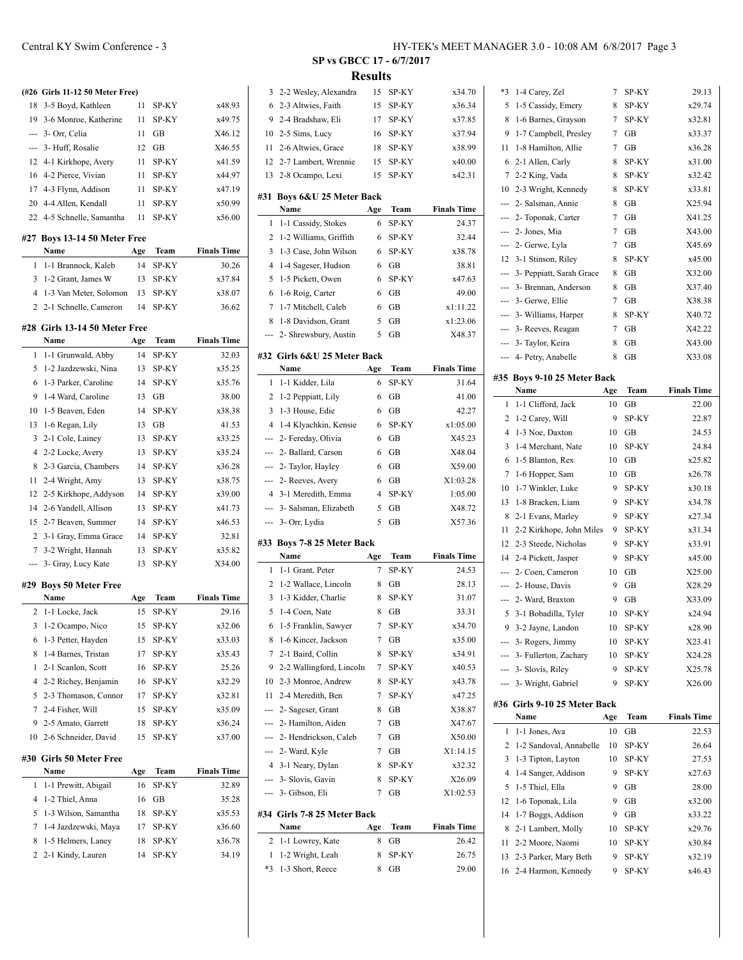## **(#26 Girls 11-12 50 Meter Free)** 3-5 Boyd, Kathleen 11 SP-KY x48.93 3-6 Monroe, Katherine 11 SP-KY x49.75 --- 3- Orr, Celia 11 GB X46.12 --- 3- Huff, Rosalie 12 GB X46.55 4-1 Kirkhope, Avery 11 SP-KY x41.59 16 4-2 Pierce, Vivian 11 SP-KY x44.97 4-3 Flynn, Addison 11 SP-KY x47.19 20 4-4 Allen, Kendall 11 SP-KY  $x50.99$  4-5 Schnelle, Samantha 11 SP-KY x56.00 **#27 Boys 13-14 50 Meter Free Name Age Team Finals Time** 1-1 Brannock, Kaleb 14 SP-KY 30.26 1-2 Grant, James W 13 SP-KY x37.84 1-3 Van Meter, Solomon 13 SP-KY x38.07 2-1 Schnelle, Cameron 14 SP-KY 36.62 **#28 Girls 13-14 50 Meter Free Name Age Team Finals Time** 1-1 Grunwald, Abby 14 SP-KY 32.03 1-2 Jazdzewski, Nina 13 SP-KY x35.25 1-3 Parker, Caroline 14 SP-KY x35.76 1-4 Ward, Caroline 13 GB 38.00 1-5 Beaven, Eden 14 SP-KY x38.38 13 1-6 Regan, Lily 13 GB 41.53 2-1 Cole, Lainey 13 SP-KY x33.25 2-2 Locke, Avery 13 SP-KY x35.24 2-3 Garcia, Chambers 14 SP-KY x36.28 2-4 Wright, Amy 13 SP-KY x38.75 2-5 Kirkhope, Addyson 14 SP-KY x39.00 2-6 Yandell, Allison 13 SP-KY x41.73 2-7 Beaven, Summer 14 SP-KY x46.53 3-1 Gray, Emma Grace 14 SP-KY 32.81 3-2 Wright, Hannah 13 SP-KY x35.82

#### **#29 Boys 50 Meter Free**

|    | Name                     | Age | Team  | <b>Finals Time</b> |
|----|--------------------------|-----|-------|--------------------|
| 2  | 1-1 Locke, Jack          | 15  | SP-KY | 29.16              |
| 3  | 1-2 Ocampo, Nico         | 15  | SP-KY | x32.06             |
| 6  | 1-3 Petter, Hayden       | 15  | SP-KY | x33.03             |
| 8  | 1-4 Barnes, Tristan      | 17  | SP-KY | x35.43             |
| 1  | 2-1 Scanlon, Scott       | 16  | SP-KY | 25.26              |
| 4  | 2-2 Richey, Benjamin     | 16  | SP-KY | x32.29             |
| 5  | 2-3 Thomason, Connor     | 17  | SP-KY | x32.81             |
| 7  | 2-4 Fisher, Will         | 15  | SP-KY | x35.09             |
| 9  | 2-5 Amato, Garrett       | 18  | SP-KY | x36.24             |
| 10 | 2-6 Schneider, David     | 15  | SP-KY | x37.00             |
|    | #30  Girls 50 Meter Free |     |       |                    |
|    | Name                     | Age | Team  | <b>Finals Time</b> |
| 1  | 1-1 Prewitt, Abigail     | 16  | SP-KY | 32.89              |
| 4  | 1-2 Thiel, Anna          | 16  | GB    | 35.28              |
| 5  | 1-3 Wilson, Samantha     | 18  | SP-KY | x35.53             |
| 7  | 1-4 Jazdzewski, Maya     | 17  | SP-KY | x36.60             |
| 8  | 1-5 Helmers, Laney       | 18  | SP-KY | x36.78             |
| 2  | 2-1 Kindy, Lauren        | 14  | SP-KY | 34.19              |

--- 3- Gray, Lucy Kate 13 SP-KY X34.00

#### **SP vs GBCC 17 - 6/7/2017 Results**

 $\overline{\phantom{0}}$ 

 $\overline{a}$ 

| 3                    | 2-2 Wesley, Alexandra                | 15     | SP-KY     | x34.70             |
|----------------------|--------------------------------------|--------|-----------|--------------------|
| 6                    | 2-3 Altwies, Faith                   | 15     | SP-KY     | x36.34             |
| 9                    | 2-4 Bradshaw, Eli                    | 17     | SP-KY     | x37.85             |
| 10                   | 2-5 Sims, Lucy                       | 16     | SP-KY     | x37.94             |
| 11                   | 2-6 Altwies, Grace                   | 18     | SP-KY     | x38.99             |
| 12                   | 2-7 Lambert, Wrennie                 | 15     | SP-KY     | x40.00             |
| 13                   | 2-8 Ocampo, Lexi                     | 15     | SP-KY     | x42.31             |
| #31                  | Boys 6&U 25 Meter Back               |        |           |                    |
|                      | Name                                 | Age    | Team      | <b>Finals Time</b> |
| 1                    | 1-1 Cassidy, Stokes                  | 6      | SP-KY     | 24.37              |
| 2                    | 1-2 Williams, Griffith               | 6      | SP-KY     | 32.44              |
| 3                    | 1-3 Case, John Wilson                | 6      | SP-KY     | x38.78             |
| $\overline{4}$       | 1-4 Sageser, Hudson                  | 6      | GВ        | 38.81              |
| 5                    | 1-5 Pickett, Owen                    | 6      | SP-KY     | x47.63             |
| 6                    | 1-6 Roig, Carter                     | 6      | GВ        | 49.00              |
| 7                    | 1-7 Mitchell, Caleb                  | 6      | GB        | x1:11.22           |
| 8                    | 1-8 Davidson, Grant                  | 5      | GB        | x1:23.06           |
| ---                  | 2- Shrewsbury, Austin                | 5      | GВ        | X48.37             |
|                      | #32 Girls 6&U 25 Meter Back          |        |           |                    |
|                      | Name                                 | Age    | Team      | <b>Finals Time</b> |
| 1                    | 1-1 Kidder, Lila                     | 6      | SP-KY     | 31.64              |
| 2                    | 1-2 Peppiatt, Lily                   | 6      | GВ        | 41.00              |
| 3                    | 1-3 House, Edie                      | 6      | GВ        | 42.27              |
| $\overline{4}$       | 1-4 Klyachkin, Kensie                | 6      | SP-KY     | x1:05.00           |
| ---                  | 2- Fereday, Olivia                   | 6      | GB        | X45.23             |
| ---                  | 2- Ballard, Carson                   | 6      | GB        | X48.04             |
| ---                  | 2- Taylor, Hayley                    | 6      | GB        | X59.00             |
| ---                  | 2- Reeves, Avery                     | 6      | GВ        | X1:03.28           |
|                      |                                      |        |           |                    |
| $\overline{4}$       | 3-1 Meredith, Emma                   | 4      | SP-KY     | 1:05.00            |
| ---                  | 3- Salsman, Elizabeth                | 5      | GВ        | X48.72             |
| ---                  | 3- Orr, Lydia                        | 5      | GB        | X57.36             |
|                      | #33 Boys 7-8 25 Meter Back           |        |           |                    |
|                      | Name                                 | Age    | Team      | <b>Finals Time</b> |
| 1                    | 1-1 Grant, Peter                     | 7      | SP-KY     | 24.53              |
| 2                    | 1-2 Wallace, Lincoln                 | 8      | GВ        | 28.13              |
| 3                    | 1-3 Kidder, Charlie                  | 8      | SP-KY     | 31.07              |
| 5                    | 1-4 Coen, Nate                       | 8      | <b>GB</b> | 33.31              |
| 6                    | 1-5 Franklin, Sawyer                 | 7      | SP-KY     | x34.70             |
| 8                    | 1-6 Kincer, Jackson                  | 7      | GВ        | x35.00             |
| 7                    | 2-1 Baird, Collin                    | 8      | SP-KY     | x34.91             |
| 9                    | 2-2 Wallingford, Lincoln             | 7      | SP-KY     | x40.53             |
| 10                   | 2-3 Monroe, Andrew                   | 8      | SP-KY     | x43.78             |
| 11                   | 2-4 Meredith. Ben                    | 7      | SP-KY     | x47.25             |
| ---                  | 2- Sageser, Grant                    | 8      | GВ        | X38.87             |
| ---                  | 2- Hamilton, Aiden                   | 7      | GB        | X47.67             |
| ---                  | 2- Hendrickson, Caleb                | 7      | GB        | X50.00             |
| ---                  | 2- Ward, Kyle                        | 7      | GВ        | X1:14.15           |
|                      | 4 3-1 Neary, Dylan                   | 8      | SP-KY     | x32.32             |
|                      | --- 3- Slovis, Gavin                 | 8      | SP-KY     | X26.09             |
|                      | --- 3- Gibson, Eli                   | 7      | GB        | X1:02.53           |
|                      | #34 Girls 7-8 25 Meter Back          |        |           |                    |
|                      | Name                                 | Age    | Team      | <b>Finals Time</b> |
| 2                    | 1-1 Lowrey, Kate                     | 8      | GВ        | 26.42              |
| $\mathbf{1}$<br>$*3$ | 1-2 Wright, Leah<br>1-3 Short, Reece | 8<br>8 | SP-KY     | 26.75<br>29.00     |

| *3  | 1-4 Carey, Zel               | 7   | SP-KY | 29.13              |
|-----|------------------------------|-----|-------|--------------------|
| 5   | 1-5 Cassidy, Emery           | 8   | SP-KY | x29.74             |
| 8   | 1-6 Barnes, Grayson          | 7   | SP-KY | x32.81             |
| 9   | 1-7 Campbell, Presley        | 7   | GВ    | x33.37             |
| 11  | 1-8 Hamilton, Allie          | 7   | GВ    | x36.28             |
| 6   | 2-1 Allen, Carly             | 8   | SP-KY | x31.00             |
| 7   | 2-2 King, Vada               | 8   | SP-KY | x32.42             |
| 10  | 2-3 Wright, Kennedy          | 8   | SP-KY | x33.81             |
| --- | 2- Salsman, Annie            | 8   | GВ    | X25.94             |
| --- | 2- Toponak, Carter           | 7   | GB    | X41.25             |
| --- | 2- Jones, Mia                | 7   | GВ    | X43.00             |
| --- | 2- Gerwe, Lyla               | 7   | GВ    | X45.69             |
| 12  | 3-1 Stinson, Riley           | 8   | SP-KY | x45.00             |
| --- | 3- Peppiatt, Sarah Grace     | 8   | GВ    | X32.00             |
| --- | 3- Brennan, Anderson         | 8   | GВ    | X37.40             |
| --- | 3- Gerwe, Ellie              | 7   | GB    | X38.38             |
| --- | 3- Williams, Harper          | 8   | SP-KY | X40.72             |
| --- | 3- Reeves, Reagan            | 7   | GВ    | X42.22             |
| --- | 3- Taylor, Keira             | 8   | GВ    | X43.00             |
| --- | 4- Petry, Anabelle           | 8   | GB    | X33.08             |
|     |                              |     |       |                    |
|     | #35 Boys 9-10 25 Meter Back  |     |       |                    |
|     | Name                         | Age | Team  | <b>Finals Time</b> |
| 1   | 1-1 Clifford, Jack           | 10  | GВ    | 22.00              |
| 2   | 1-2 Carey, Will              | 9   | SP-KY | 22.87              |
| 4   | 1-3 Noe, Daxton              | 10  | GВ    | 24.53              |
| 3   | 1-4 Merchant, Nate           | 10  | SP-KY | 24.84              |
| 6   | 1-5 Blanton, Rex             | 10  | GВ    | x25.82             |
| 7   | 1-6 Hopper, Sam              | 10  | GВ    | x26.78             |
| 10  | 1-7 Winkler, Luke            | 9   | SP-KY | x30.18             |
| 13  | 1-8 Bracken, Liam            | 9   | SP-KY | x34.78             |
| 8   | 2-1 Evans, Marley            | 9   | SP-KY | x27.34             |
| 11  | 2-2 Kirkhope, John Miles     | 9   | SP-KY | x31.34             |
| 12  | 2-3 Steede, Nicholas         | 9   | SP-KY | x33.91             |
| 14  | 2-4 Pickett, Jasper          | 9   | SP-KY | x45.00             |
| --- | 2- Coen, Cameron             | 10  | GB    | X25.00             |
| --- | 2- House, Davis              | 9   | GB    | X28.29             |
| --- | 2- Ward, Braxton             | 9   | GB    | X33.09             |
| 5   |                              | 10  | SP-KY | x24.94             |
| 9   | 3-1 Bobadilla, Tyler         |     |       |                    |
|     | 3-2 Jayne, Landon            | 10  | SP-KY | x28.90             |
|     | --- 3- Rogers, Jimmy         | 10  | SP-KY | X23.41             |
|     | --- 3- Fullerton, Zachary    | 10  | SP-KY | X24.28             |
| --- | 3- Slovis, Riley             | 9   | SP-KY | X25.78             |
| --- | 3- Wright, Gabriel           | 9   | SP-KY | X26.00             |
|     | #36 Girls 9-10 25 Meter Back |     |       |                    |
|     | Name                         | Age | Team  | <b>Finals Time</b> |
| 1   | 1-1 Jones, Ava               | 10  | GB    | 22.53              |
| 2   | 1-2 Sandoval, Annabelle      | 10  | SP-KY | 26.64              |
| 3   | 1-3 Tipton, Layton           | 10  | SP-KY | 27.53              |
| 4   | 1-4 Sanger, Addison          | 9   | SP-KY | x27.63             |
| 5   | 1-5 Thiel, Ella              | 9   | GB    | 28.00              |
| 12  | 1-6 Toponak, Lila            | 9   | GВ    | x32.00             |
| 14  | 1-7 Boggs, Addison           | 9   | GВ    | x33.22             |
| 8   | 2-1 Lambert, Molly           | 10  | SP-KY | x29.76             |
| 11  | 2-2 Moore, Naomi             | 10  | SP-KY | x30.84             |
| 13  | 2-3 Parker, Mary Beth        | 9   | SP-KY | x32.19             |
| 16  | 2-4 Harmon, Kennedy          | 9   | SP-KY | x46.43             |
|     |                              |     |       |                    |
|     |                              |     |       |                    |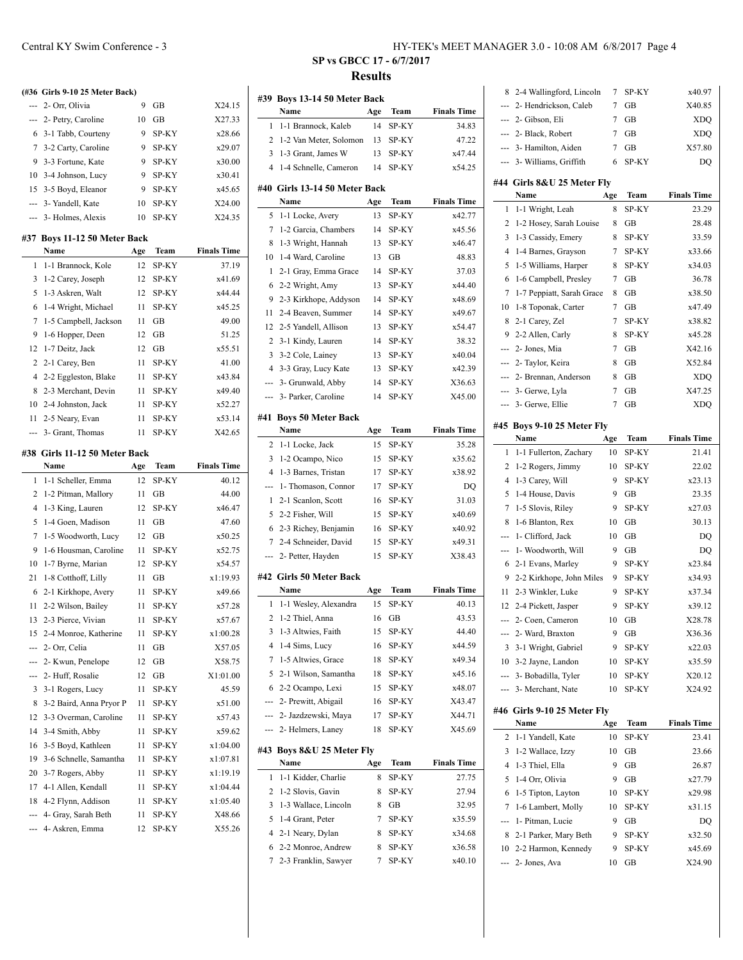|                | (#36 Girls 9-10 25 Meter Back) |     |              |                    |
|----------------|--------------------------------|-----|--------------|--------------------|
| ---            | 2- Orr, Olivia                 | 9   | GB           | X24.15             |
| ---            | 2- Petry, Caroline             | 10  | GB           | X27.33             |
| 6              | 3-1 Tabb, Courteny             | 9   | SP-KY        | x28.66             |
| $\tau$         | 3-2 Carty, Caroline            | 9   | SP-KY        | x29.07             |
| 9              | 3-3 Fortune, Kate              | 9   | SP-KY        | x30.00             |
| 10             | 3-4 Johnson, Lucy              | 9   | SP-KY        | x30.41             |
| 15             | 3-5 Boyd, Eleanor              | 9   | SP-KY        | x45.65             |
| $\overline{a}$ | 3- Yandell, Kate               | 10  | SP-KY        | X24.00             |
| ---            | 3- Holmes, Alexis              | 10  | SP-KY        | X24.35             |
|                | #37 Boys 11-12 50 Meter Back   |     |              |                    |
|                | Name                           | Age | Team         | <b>Finals Time</b> |
| 1              | 1-1 Brannock, Kole             | 12  | SP-KY        | 37.19              |
| 3              | 1-2 Carey, Joseph              | 12  | SP-KY        | x41.69             |
| 5              | 1-3 Askren, Walt               | 12  | SP-KY        | x44.44             |
| 6              | 1-4 Wright, Michael            | 11  | SP-KY        | x45.25             |
| 7              | 1-5 Campbell, Jackson          | 11  | GB           | 49.00              |
| 9              | 1-6 Hopper, Deen               | 12  | GВ           | 51.25              |
| 12             | 1-7 Deitz, Jack                | 12  | GB           | x55.51             |
| $\overline{c}$ | 2-1 Carey, Ben                 | 11  | SP-KY        | 41.00              |
| 4              | 2-2 Eggleston, Blake           | 11  | SP-KY        | x43.84             |
| 8              | 2-3 Merchant, Devin            | 11  | SP-KY        | x49.40             |
| 10             | 2-4 Johnston, Jack             | 11  | SP-KY        | x52.27             |
| 11             | 2-5 Neary, Evan                | 11  | SP-KY        | x53.14             |
| ---            | 3- Grant, Thomas               | 11  | SP-KY        | X42.65             |
|                | #38 Girls 11-12 50 Meter Back  |     |              |                    |
|                | Name                           | Age | Team         | <b>Finals Time</b> |
| 1              | 1-1 Scheller, Emma             | 12  | SP-KY        | 40.12              |
| 2              | 1-2 Pitman, Mallory            | 11  | GВ           | 44.00              |
| 4              | 1-3 King, Lauren               | 12  | <b>SP-KY</b> | x46.47             |
| 5              | 1-4 Goen, Madison              | 11  | GB           | 47.60              |
| $\overline{7}$ | 1-5 Woodworth, Lucy            | 12  | GB           | x50.25             |
| 9              | 1-6 Housman, Caroline          | 11  | SP-KY        | x52.75             |
| 10             | 1-7 Byrne, Marian              | 12  | SP-KY        | x54.57             |
| 21             | 1-8 Cotthoff, Lilly            | 11  | GB           | x1:19.93           |
| 6              | 2-1 Kirkhope, Avery            | 11  | SP-KY        | x49.66             |
| 11             | 2-2 Wilson, Bailey             | 11  | SP-KY        | x57.28             |
| 13             | 2-3 Pierce, Vivian             | 11  | SP-KY        | x57.67             |

 2-4 Monroe, Katherine 11 SP-KY x1:00.28 --- 2- Orr, Celia 11 GB X57.05 --- 2- Kwun, Penelope 12 GB X58.75 --- 2- Huff, Rosalie 12 GB X1:01.00 3-1 Rogers, Lucy 11 SP-KY 45.59 3-2 Baird, Anna Pryor P 11 SP-KY x51.00 3-3 Overman, Caroline 11 SP-KY x57.43 3-4 Smith, Abby 11 SP-KY x59.62 3-5 Boyd, Kathleen 11 SP-KY x1:04.00 3-6 Schnelle, Samantha 11 SP-KY x1:07.81 3-7 Rogers, Abby 11 SP-KY x1:19.19 17 4-1 Allen, Kendall 11 SP-KY x1:04.44 4-2 Flynn, Addison 11 SP-KY x1:05.40 --- 4- Gray, Sarah Beth 11 SP-KY X48.66 --- 4- Askren, Emma 12 SP-KY X55.26

### Central KY Swim Conference - 3 HY-TEK's MEET MANAGER 3.0 - 10:08 AM 6/8/2017 Page 4

#### **SP vs GBCC 17 - 6/7/2017 Results**

 $\overline{a}$ 

|                | #39 Boys 13-14 50 Meter Back   |           |       |                    |
|----------------|--------------------------------|-----------|-------|--------------------|
|                | Name                           | Age<br>14 | Team  | <b>Finals Time</b> |
| 1              | 1-1 Brannock, Kaleb            |           | SP-KY | 34.83              |
| 2              | 1-2 Van Meter, Solomon         | 13        | SP-KY | 47.22              |
| 3              | 1-3 Grant, James W             | 13        | SP-KY | x47.44             |
| $\overline{4}$ | 1-4 Schnelle, Cameron          | 14        | SP-KY | x54.25             |
|                | #40  Girls 13-14 50 Meter Back |           |       |                    |
|                | Name                           | Age       | Team  | <b>Finals Time</b> |
| 5              | 1-1 Locke, Avery               | 13        | SP-KY | x42.77             |
| 7              | 1-2 Garcia, Chambers           | 14        | SP-KY | x45.56             |
| 8              | 1-3 Wright, Hannah             | 13        | SP-KY | x46.47             |
| 10             | 1-4 Ward, Caroline             | 13        | GB    | 48.83              |
| 1              | 2-1 Gray, Emma Grace           | 14        | SP-KY | 37.03              |
| 6              | 2-2 Wright, Amy                | 13        | SP-KY | x44.40             |
| 9              | 2-3 Kirkhope, Addyson          | 14        | SP-KY | x48.69             |
| 11             | 2-4 Beaven, Summer             | 14        | SP-KY | x49.67             |
| 12             | 2-5 Yandell, Allison           | 13        | SP-KY | x54.47             |
| 2              | 3-1 Kindy, Lauren              | 14        | SP-KY | 38.32              |
| 3              | 3-2 Cole, Lainey               | 13        | SP-KY | x40.04             |
| $\overline{4}$ | 3-3 Gray, Lucy Kate            | 13        | SP-KY | x42.39             |
| ---            | 3- Grunwald, Abby              | 14        | SP-KY | X36.63             |
| ---            | 3- Parker, Caroline            | 14        | SP-KY | X45.00             |
|                |                                |           |       |                    |
| #41            | <b>Boys 50 Meter Back</b>      |           |       |                    |
|                | Name                           | Age       | Team  | <b>Finals Time</b> |
| 2              | 1-1 Locke, Jack                | 15        | SP-KY | 35.28              |
| 3              | 1-2 Ocampo, Nico               | 15        | SP-KY | x35.62             |
| $\overline{4}$ | 1-3 Barnes, Tristan            | 17        | SP-KY | x38.92             |
| ---            | 1- Thomason, Connor            | 17        | SP-KY | DQ                 |
| 1              | 2-1 Scanlon, Scott             | 16        | SP-KY | 31.03              |
| 5              | 2-2 Fisher, Will               | 15        | SP-KY | x40.69             |
| 6              | 2-3 Richey, Benjamin           | 16        | SP-KY | x40.92             |
| 7              | 2-4 Schneider, David           | 15        | SP-KY | x49.31             |
| ---            | 2- Petter, Hayden              | 15        | SP-KY | X38.43             |
| #42            | <b>Girls 50 Meter Back</b>     |           |       |                    |
|                | Name                           | Age       | Team  | <b>Finals Time</b> |
| 1              | 1-1 Wesley, Alexandra          | 15        | SP-KY | 40.13              |
| 2              | 1-2 Thiel, Anna                | 16        | GB    | 43.53              |
|                | 3 1-3 Altwies, Faith           | 15        | SP-KY | 44.40              |
| 4              | 1-4 Sims, Lucy                 | 16        | SP-KY | x44.59             |
| 7              | 1-5 Altwies, Grace             | 18        | SP-KY | x49.34             |
| 5              | 2-1 Wilson, Samantha           | 18        | SP-KY | x45.16             |
| 6              | 2-2 Ocampo, Lexi               | 15        | SP-KY | x48.07             |
|                | --- 2- Prewitt, Abigail        | 16        | SP-KY | X43.47             |
|                | --- 2- Jazdzewski, Maya        | 17        | SP-KY | X44.71             |
|                | --- 2- Helmers, Laney          | 18        | SP-KY | X45.69             |
|                | #43 Boys 8&U 25 Meter Fly      |           |       |                    |
|                | Name                           | Age       | Team  | <b>Finals Time</b> |
| 1              | 1-1 Kidder, Charlie            | 8         | SP-KY | 27.75              |
| 2              | 1-2 Slovis, Gavin              | 8         | SP-KY | 27.94              |
| 3              | 1-3 Wallace, Lincoln           | 8         | GВ    | 32.95              |
| 5              | 1-4 Grant, Peter               | 7         | SP-KY | x35.59             |
| 4              | 2-1 Neary, Dylan               | 8         | SP-KY | x34.68             |
| 6              | 2-2 Monroe, Andrew             | 8         | SP-KY | x36.58             |
| 7              | 2-3 Franklin, Sawyer           | 7         | SP-KY | x40.10             |
|                |                                |           |       |                    |

| ---<br>3<br>---<br>2<br>3<br>4<br>5<br>6<br>7<br>---<br>8<br>10 | 3-1 Wright, Gabriel<br>10 3-2 Jayne, Landon<br>--- 3- Bobadilla, Tyler<br>3- Merchant, Nate<br>#46 Girls 9-10 25 Meter Fly<br>Name<br>1-1 Yandell, Kate<br>1-2 Wallace, Izzy<br>1-3 Thiel, Ella<br>1-4 Orr, Olivia<br>1-5 Tipton, Layton<br>1-6 Lambert, Molly<br>1- Pitman, Lucie<br>2-1 Parker, Mary Beth<br>2-2 Harmon, Kennedy<br>2- Jones, Ava | 9<br>9<br>10<br>10<br>10<br>Age<br>10<br>10<br>9<br>9<br>10<br>10<br>9<br>9<br>9<br>10 | $\overline{GB}$<br>SP-KY<br>SP-KY<br>SP-KY<br>SP-KY<br>Team<br>SP-KY<br>GВ<br>GВ<br>GB<br>SP-KY<br>SP-KY<br>GВ<br>SP-KY<br>SP-KY<br>GВ | X36.36<br>x22.03<br>x35.59<br>X20.12<br>X24.92<br><b>Finals Time</b><br>23.41<br>23.66<br>26.87<br>x27.79<br>x29.98<br>x31.15<br>DQ<br>x32.50<br>x45.69<br>X24.90 |
|-----------------------------------------------------------------|-----------------------------------------------------------------------------------------------------------------------------------------------------------------------------------------------------------------------------------------------------------------------------------------------------------------------------------------------------|----------------------------------------------------------------------------------------|----------------------------------------------------------------------------------------------------------------------------------------|-------------------------------------------------------------------------------------------------------------------------------------------------------------------|
|                                                                 |                                                                                                                                                                                                                                                                                                                                                     |                                                                                        |                                                                                                                                        |                                                                                                                                                                   |
|                                                                 |                                                                                                                                                                                                                                                                                                                                                     |                                                                                        |                                                                                                                                        |                                                                                                                                                                   |
|                                                                 |                                                                                                                                                                                                                                                                                                                                                     |                                                                                        |                                                                                                                                        |                                                                                                                                                                   |
|                                                                 |                                                                                                                                                                                                                                                                                                                                                     |                                                                                        |                                                                                                                                        |                                                                                                                                                                   |
|                                                                 |                                                                                                                                                                                                                                                                                                                                                     |                                                                                        |                                                                                                                                        |                                                                                                                                                                   |
|                                                                 |                                                                                                                                                                                                                                                                                                                                                     |                                                                                        |                                                                                                                                        |                                                                                                                                                                   |
|                                                                 |                                                                                                                                                                                                                                                                                                                                                     |                                                                                        |                                                                                                                                        |                                                                                                                                                                   |
|                                                                 |                                                                                                                                                                                                                                                                                                                                                     |                                                                                        |                                                                                                                                        |                                                                                                                                                                   |
|                                                                 |                                                                                                                                                                                                                                                                                                                                                     |                                                                                        |                                                                                                                                        |                                                                                                                                                                   |
|                                                                 |                                                                                                                                                                                                                                                                                                                                                     |                                                                                        |                                                                                                                                        |                                                                                                                                                                   |
|                                                                 |                                                                                                                                                                                                                                                                                                                                                     |                                                                                        |                                                                                                                                        |                                                                                                                                                                   |
|                                                                 |                                                                                                                                                                                                                                                                                                                                                     |                                                                                        |                                                                                                                                        |                                                                                                                                                                   |
|                                                                 |                                                                                                                                                                                                                                                                                                                                                     |                                                                                        |                                                                                                                                        |                                                                                                                                                                   |
|                                                                 |                                                                                                                                                                                                                                                                                                                                                     |                                                                                        |                                                                                                                                        |                                                                                                                                                                   |
|                                                                 |                                                                                                                                                                                                                                                                                                                                                     |                                                                                        |                                                                                                                                        |                                                                                                                                                                   |
|                                                                 |                                                                                                                                                                                                                                                                                                                                                     |                                                                                        |                                                                                                                                        |                                                                                                                                                                   |
|                                                                 |                                                                                                                                                                                                                                                                                                                                                     |                                                                                        |                                                                                                                                        |                                                                                                                                                                   |
|                                                                 | 2- Ward, Braxton                                                                                                                                                                                                                                                                                                                                    |                                                                                        |                                                                                                                                        |                                                                                                                                                                   |
| ---                                                             | 2- Coen, Cameron                                                                                                                                                                                                                                                                                                                                    | 10                                                                                     | GВ                                                                                                                                     | X28.78                                                                                                                                                            |
| 12                                                              | 2-4 Pickett, Jasper                                                                                                                                                                                                                                                                                                                                 | 9                                                                                      | SP-KY                                                                                                                                  | x39.12                                                                                                                                                            |
| 11                                                              | 2-3 Winkler, Luke                                                                                                                                                                                                                                                                                                                                   | 9                                                                                      | SP-KY                                                                                                                                  | x37.34                                                                                                                                                            |
| 9                                                               | 2-2 Kirkhope, John Miles                                                                                                                                                                                                                                                                                                                            | 9                                                                                      | SP-KY                                                                                                                                  | x34.93                                                                                                                                                            |
| 6                                                               | 2-1 Evans, Marley                                                                                                                                                                                                                                                                                                                                   | 9                                                                                      | SP-KY                                                                                                                                  | x23.84                                                                                                                                                            |
| ---                                                             | 1- Woodworth, Will                                                                                                                                                                                                                                                                                                                                  | 9                                                                                      | GВ                                                                                                                                     | DQ                                                                                                                                                                |
| ---                                                             | 1- Clifford, Jack                                                                                                                                                                                                                                                                                                                                   | 10                                                                                     | GB                                                                                                                                     | DQ                                                                                                                                                                |
| 8                                                               | 1-6 Blanton, Rex                                                                                                                                                                                                                                                                                                                                    | 10                                                                                     | GB                                                                                                                                     | 30.13                                                                                                                                                             |
| 7                                                               | 1-5 Slovis, Riley                                                                                                                                                                                                                                                                                                                                   | 9                                                                                      | SP-KY                                                                                                                                  | x27.03                                                                                                                                                            |
| 5                                                               | 1-4 House, Davis                                                                                                                                                                                                                                                                                                                                    | 9                                                                                      | GВ                                                                                                                                     | 23.35                                                                                                                                                             |
| 4                                                               | 1-3 Carey, Will                                                                                                                                                                                                                                                                                                                                     | 9                                                                                      | SP-KY                                                                                                                                  | x23.13                                                                                                                                                            |
| 2                                                               | 1-2 Rogers, Jimmy                                                                                                                                                                                                                                                                                                                                   | 10                                                                                     | SP-KY                                                                                                                                  | 22.02                                                                                                                                                             |
| 1                                                               | 1-1 Fullerton, Zachary                                                                                                                                                                                                                                                                                                                              | 10                                                                                     | SP-KY                                                                                                                                  | 21.41                                                                                                                                                             |
|                                                                 | Name                                                                                                                                                                                                                                                                                                                                                | Age                                                                                    | Team                                                                                                                                   | <b>Finals Time</b>                                                                                                                                                |
|                                                                 | #45 Boys 9-10 25 Meter Fly                                                                                                                                                                                                                                                                                                                          |                                                                                        |                                                                                                                                        |                                                                                                                                                                   |
| ---                                                             | 3- Gerwe, Ellie                                                                                                                                                                                                                                                                                                                                     | $\overline{7}$                                                                         | <b>GB</b>                                                                                                                              | XDQ                                                                                                                                                               |
| $\cdots$                                                        | 3- Gerwe, Lyla                                                                                                                                                                                                                                                                                                                                      | 7                                                                                      | GВ                                                                                                                                     | X47.25                                                                                                                                                            |
| ---                                                             | 2- Brennan, Anderson                                                                                                                                                                                                                                                                                                                                | 8                                                                                      | GB                                                                                                                                     | <b>XDQ</b>                                                                                                                                                        |
| ---                                                             | 2- Taylor, Keira                                                                                                                                                                                                                                                                                                                                    | 8                                                                                      | GB                                                                                                                                     | X52.84                                                                                                                                                            |
| ---                                                             | 2- Jones, Mia                                                                                                                                                                                                                                                                                                                                       | 7                                                                                      | GВ                                                                                                                                     | X42.16                                                                                                                                                            |
| 9                                                               | 2-2 Allen, Carly                                                                                                                                                                                                                                                                                                                                    | 8                                                                                      | SP-KY                                                                                                                                  | x45.28                                                                                                                                                            |
| 8                                                               | 2-1 Carey, Zel                                                                                                                                                                                                                                                                                                                                      | 7                                                                                      | SP-KY                                                                                                                                  | x38.82                                                                                                                                                            |
| 10                                                              | 1-8 Toponak, Carter                                                                                                                                                                                                                                                                                                                                 | 7                                                                                      | GВ                                                                                                                                     | x47.49                                                                                                                                                            |
| 7                                                               | 1-7 Peppiatt, Sarah Grace                                                                                                                                                                                                                                                                                                                           | 8                                                                                      | GВ                                                                                                                                     | x38.50                                                                                                                                                            |
| 6                                                               | 1-6 Campbell, Presley                                                                                                                                                                                                                                                                                                                               | 7                                                                                      | GВ                                                                                                                                     | 36.78                                                                                                                                                             |
| 5                                                               | 1-5 Williams, Harper                                                                                                                                                                                                                                                                                                                                | 8                                                                                      | SP-KY                                                                                                                                  | x34.03                                                                                                                                                            |
| 4                                                               | 1-4 Barnes, Grayson                                                                                                                                                                                                                                                                                                                                 | 7                                                                                      | SP-KY                                                                                                                                  | x33.66                                                                                                                                                            |
| 3                                                               | 1-3 Cassidy, Emery                                                                                                                                                                                                                                                                                                                                  | 8                                                                                      | SP-KY                                                                                                                                  | 33.59                                                                                                                                                             |
| 2                                                               | 1-2 Hosey, Sarah Louise                                                                                                                                                                                                                                                                                                                             | 8                                                                                      | GВ                                                                                                                                     | 28.48                                                                                                                                                             |
| 1                                                               | 1-1 Wright, Leah                                                                                                                                                                                                                                                                                                                                    | 8                                                                                      | SP-KY                                                                                                                                  | 23.29                                                                                                                                                             |
|                                                                 | Name                                                                                                                                                                                                                                                                                                                                                | Age                                                                                    | Team                                                                                                                                   | <b>Finals Time</b>                                                                                                                                                |
|                                                                 | #44 Girls 8&U 25 Meter Fly                                                                                                                                                                                                                                                                                                                          |                                                                                        |                                                                                                                                        |                                                                                                                                                                   |
| ---                                                             | 3- Williams, Griffith                                                                                                                                                                                                                                                                                                                               | 6                                                                                      | SP-KY                                                                                                                                  | DQ                                                                                                                                                                |
| ---                                                             | 3- Hamilton, Aiden                                                                                                                                                                                                                                                                                                                                  | 7                                                                                      | GВ                                                                                                                                     | X57.80                                                                                                                                                            |
| $\overline{a}$                                                  | 2- Black, Robert                                                                                                                                                                                                                                                                                                                                    | 7                                                                                      | GВ                                                                                                                                     | <b>XDO</b>                                                                                                                                                        |
|                                                                 | 2- Gibson, Eli                                                                                                                                                                                                                                                                                                                                      | 7                                                                                      | GВ                                                                                                                                     | XDQ                                                                                                                                                               |
| ---                                                             | 2- Hendrickson, Caleb                                                                                                                                                                                                                                                                                                                               | 7                                                                                      | GВ                                                                                                                                     | X40.85                                                                                                                                                            |
| ---                                                             | 2-4 Wallingford, Lincoln                                                                                                                                                                                                                                                                                                                            | 7                                                                                      | SP-KY                                                                                                                                  | x40.97                                                                                                                                                            |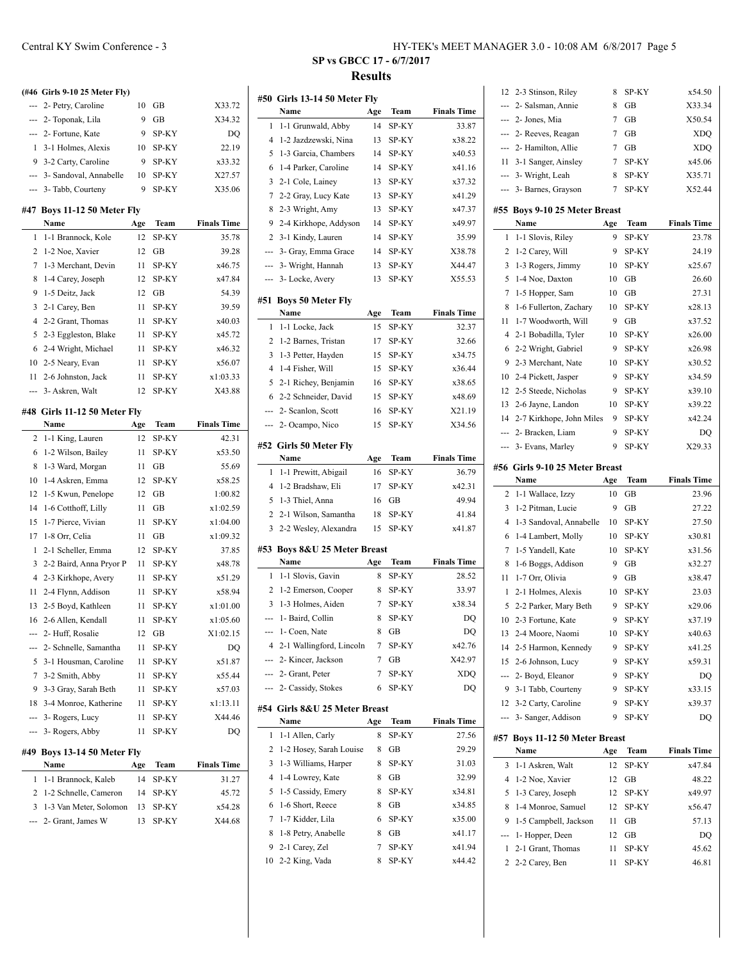|              | (#46 Girls 9-10 25 Meter Fly)       |     |       |                    |
|--------------|-------------------------------------|-----|-------|--------------------|
| ---          | 2- Petry, Caroline                  | 10  | GB    | X33.72             |
|              | --- 2- Toponak, Lila                | 9   | GB    | X34.32             |
|              | --- 2- Fortune, Kate                | 9   | SP-KY | DQ                 |
| $\mathbf{1}$ | 3-1 Holmes, Alexis                  | 10  | SP-KY | 22.19              |
| 9            | 3-2 Carty, Caroline                 | 9   | SP-KY | x33.32             |
|              | --- 3- Sandoval, Annabelle          | 10  | SP-KY | X27.57             |
| ---          | 3- Tabb, Courteny                   | 9   | SP-KY | X35.06             |
|              |                                     |     |       |                    |
|              | #47 Boys 11-12 50 Meter Fly<br>Name | Age | Team  | <b>Finals Time</b> |
| 1            | 1-1 Brannock, Kole                  | 12  | SP-KY | 35.78              |
| 2            | 1-2 Noe, Xavier                     | 12  | GB    | 39.28              |
| 7            | 1-3 Merchant, Devin                 | 11  | SP-KY | x46.75             |
| 8            | 1-4 Carey, Joseph                   | 12  | SP-KY | x47.84             |
| 9            | 1-5 Deitz, Jack                     | 12  | GВ    | 54.39              |
| 3            | 2-1 Carey, Ben                      | 11  | SP-KY | 39.59              |
| 4            |                                     | 11  | SP-KY | x40.03             |
| 5            | 2-2 Grant, Thomas                   |     |       | x45.72             |
|              | 2-3 Eggleston, Blake                | 11  | SP-KY |                    |
| 6            | 2-4 Wright, Michael                 | 11  | SP-KY | x46.32             |
| 10           | 2-5 Neary, Evan                     | 11  | SP-KY | x56.07             |
| 11           | 2-6 Johnston, Jack                  | 11  | SP-KY | x1:03.33           |
| ---          | 3- Askren, Walt                     | 12  | SP-KY | X43.88             |
| #48          | Girls 11-12 50 Meter Fly            |     |       |                    |
|              | Name                                | Age | Team  | <b>Finals Time</b> |
| 2            | 1-1 King, Lauren                    | 12  | SP-KY | 42.31              |
| 6            | 1-2 Wilson, Bailey                  | 11  | SP-KY | x53.50             |
| 8            | 1-3 Ward, Morgan                    | 11  | GВ    | 55.69              |
| 10           | 1-4 Askren, Emma                    | 12  | SP-KY | x58.25             |
| 12           | 1-5 Kwun, Penelope                  | 12  | GВ    | 1:00.82            |
| 14           | 1-6 Cotthoff, Lilly                 | 11  | GВ    | x1:02.59           |
| 15           | 1-7 Pierce, Vivian                  | 11  | SP-KY | x1:04.00           |
| 17           | 1-8 Orr, Celia                      | 11  | GВ    | x1:09.32           |
| $\mathbf{1}$ | 2-1 Scheller, Emma                  | 12  | SP-KY | 37.85              |
| 3            | 2-2 Baird, Anna Pryor P             | 11  | SP-KY | x48.78             |
| 4            | 2-3 Kirkhope, Avery                 | 11  | SP-KY | x51.29             |
| 11           | 2-4 Flynn, Addison                  | 11  | SP-KY | x58.94             |
| 13           | 2-5 Boyd, Kathleen                  | 11  | SP-KY | x1:01.00           |
| 16           | 2-6 Allen, Kendall                  | 11  | SP-KY | x1:05.60           |
| ---          | 2- Huff, Rosalie                    | 12  | GВ    | X1:02.15           |
| --           | 2- Schnelle, Samantha               | 11  | SP-KY | DQ                 |
| 5            | 3-1 Housman, Caroline               | 11  | SP-KY | x51.87             |
| 7            | 3-2 Smith, Abby                     | 11  | SP-KY | x55.44             |
| 9            | 3-3 Gray, Sarah Beth                | 11  | SP-KY | x57.03             |
| 18           | 3-4 Monroe, Katherine               | 11  | SP-KY | x1:13.11           |
| ---          | 3- Rogers, Lucy                     | 11  | SP-KY | X44.46             |
| ---          | 3- Rogers, Abby                     | 11  | SP-KY | DQ                 |
|              |                                     |     |       |                    |
| #49          | Boys 13-14 50 Meter Fly             |     |       |                    |
|              | Name                                | Age | Team  | <b>Finals Time</b> |
| 1            | 1-1 Brannock, Kaleb                 | 14  | SP-KY | 31.27              |
| 2            | 1-2 Schnelle, Cameron               | 14  | SP-KY | 45.72              |
| 3            | 1-3 Van Meter, Solomon              | 13  | SP-KY | x54.28             |
|              | 2- Grant, James W                   | 13  | SP-KY | X44.68             |

#### Central KY Swim Conference - 3 HY-TEK's MEET MANAGER 3.0 - 10:08 AM 6/8/2017 Page 5

# **SP vs GBCC 17 - 6/7/2017 Results**

|                | #50 Girls 13-14 50 Meter Fly  |        |              |                    |
|----------------|-------------------------------|--------|--------------|--------------------|
|                | Name                          | Age    | Team         | <b>Finals Time</b> |
| 1              | 1-1 Grunwald, Abby            | 14     | SP-KY        | 33.87              |
| 4              | 1-2 Jazdzewski, Nina          | 13     | SP-KY        | x38.22             |
| 5              | 1-3 Garcia, Chambers          | 14     | SP-KY        | x40.53             |
| 6              | 1-4 Parker, Caroline          | 14     | SP-KY        | x41.16             |
| 3              | 2-1 Cole, Lainey              | 13     | SP-KY        | x37.32             |
| 7              | 2-2 Gray, Lucy Kate           | 13     | SP-KY        | x41.29             |
| 8              | 2-3 Wright, Amy               | 13     | SP-KY        | x47.37             |
| 9              | 2-4 Kirkhope, Addyson         | 14     | SP-KY        | x49.97             |
| 2              | 3-1 Kindy, Lauren             | 14     | SP-KY        | 35.99              |
| ---            | 3- Gray, Emma Grace           | 14     | SP-KY        | X38.78             |
| ---            | 3- Wright, Hannah             | 13     | SP-KY        | X44.47             |
| ---            | 3- Locke, Avery               | 13     | SP-KY        | X55.53             |
|                |                               |        |              |                    |
|                | #51 Boys 50 Meter Fly<br>Name | Age    | Team         | <b>Finals Time</b> |
| 1              | 1-1 Locke, Jack               | 15     | SP-KY        | 32.37              |
| 2              | 1-2 Barnes, Tristan           | 17     | SP-KY        | 32.66              |
| 3              | 1-3 Petter, Hayden            | 15     | SP-KY        | x34.75             |
| $\overline{4}$ | 1-4 Fisher, Will              | 15     | SP-KY        | x36.44             |
| 5              | 2-1 Richey, Benjamin          | 16     | SP-KY        | x38.65             |
| 6              | 2-2 Schneider, David          | 15     | SP-KY        | x48.69             |
| ---            | 2- Scanlon, Scott             | 16     | SP-KY        | X21.19             |
| ---            |                               |        | SP-KY        | X34.56             |
|                | 2- Ocampo, Nico               | 15     |              |                    |
|                | #52 Girls 50 Meter Fly        |        |              |                    |
|                | Name                          | Age    | Team         | <b>Finals Time</b> |
| 1              | 1-1 Prewitt, Abigail          | 16     | SP-KY        | 36.79              |
| 4              | 1-2 Bradshaw, Eli             | 17     | SP-KY        | x42.31             |
| 5              | 1-3 Thiel, Anna               | 16     | GВ           | 49.94              |
| 2              | 2-1 Wilson, Samantha          | 18     | SP-KY        | 41.84              |
| 3              | 2-2 Wesley, Alexandra         | 15     | SP-KY        | x41.87             |
| #53            | Boys 8&U 25 Meter Breast      |        |              |                    |
|                | Name                          | Age    | Team         | <b>Finals Time</b> |
| 1              | 1-1 Slovis, Gavin             | 8      | SP-KY        | 28.52              |
| 2              | 1-2 Emerson, Cooper           | 8      | SP-KY        | 33.97              |
| 3              | 1-3 Holmes, Aiden             | 7      | SP-KY        | x38.34             |
| ---            | 1- Baird, Collin              | 8      | <b>SP-KY</b> | DQ                 |
|                | 1- Coen, Nate                 | 8      | $\rm GB$     | DQ                 |
|                | 4 2-1 Wallingford, Lincoln    | 7      | SP-KY        | x42.76             |
| ---            | 2- Kincer, Jackson            | 7      | GВ           | X42.97             |
| ---            | 2- Grant, Peter               | 7      | SP-KY        | XDQ                |
| ---            | 2- Cassidy, Stokes            | 6      | SP-KY        | DQ                 |
|                | #54 Girls 8&U 25 Meter Breast |        |              |                    |
|                | Name                          | Age    | Team         | <b>Finals Time</b> |
| 1              | 1-1 Allen, Carly              | 8      | SP-KY        | 27.56              |
| 2              | 1-2 Hosey, Sarah Louise       | 8      | GВ           | 29.29              |
| 3              | 1-3 Williams, Harper          | 8      | SP-KY        | 31.03              |
| 4              | 1-4 Lowrey, Kate              |        | GВ           | 32.99              |
| 5              | 1-5 Cassidy, Emery            | 8<br>8 | SP-KY        | x34.81             |
| 6              | 1-6 Short, Reece              | 8      | GВ           | x34.85             |
| 7              | 1-7 Kidder, Lila              |        |              |                    |
| 8              | 1-8 Petry, Anabelle           | 6<br>8 | SP-KY<br>GВ  | x35.00<br>x41.17   |
| 9              | 2-1 Carey, Zel                | 7      | SP-KY        | x41.94             |
| 10             | 2-2 King, Vada                | 8      | SP-KY        | x44.42             |
|                |                               |        |              |                    |

| 5<br>10<br>13<br>14<br>15<br>---<br>9<br>12<br>---<br>#57<br>3<br>4<br>5<br>8<br>9<br>-−<br>1<br>2 | 2-2 Parker, Mary Beth<br>2-3 Fortune, Kate<br>2-4 Moore, Naomi<br>2-5 Harmon, Kennedy<br>2-6 Johnson, Lucy<br>2- Boyd, Eleanor<br>3-1 Tabb, Courteny<br>3-2 Carty, Caroline<br>3- Sanger, Addison<br><b>Boys 11-12 50 Meter Breast</b><br>Name<br>1-1 Askren, Walt<br>1-2 Noe, Xavier<br>1-3 Carey, Joseph<br>1-4 Monroe, Samuel<br>1-5 Campbell, Jackson<br>1- Hopper, Deen<br>2-1 Grant, Thomas<br>2-2 Carey, Ben | 10<br>9<br>9<br>10<br>9<br>9<br>9<br>9<br>9<br>9<br>Age<br>12<br>12<br>12<br>12<br>11<br>12<br>11<br>11 | SP-KY<br>SP-KY<br>SP-KY<br>SP-KY<br>SP-KY<br>SP-KY<br>SP-KY<br>SP-KY<br>SP-KY<br>SP-KY<br>Team<br>SP-KY<br>GВ<br>SP-KY<br>SP-KY<br>GВ<br>GВ<br>SP-KY<br>SP-KY | x38.47<br>23.03<br>x29.06<br>x37.19<br>x40.63<br>x41.25<br>x59.31<br>DQ<br>x33.15<br>x39.37<br>D <sub>O</sub><br><b>Finals Time</b><br>x47.84<br>48.22<br>x49.97<br>x56.47<br>57.13<br>DQ<br>45.62<br>46.81 |
|----------------------------------------------------------------------------------------------------|---------------------------------------------------------------------------------------------------------------------------------------------------------------------------------------------------------------------------------------------------------------------------------------------------------------------------------------------------------------------------------------------------------------------|---------------------------------------------------------------------------------------------------------|---------------------------------------------------------------------------------------------------------------------------------------------------------------|-------------------------------------------------------------------------------------------------------------------------------------------------------------------------------------------------------------|
|                                                                                                    |                                                                                                                                                                                                                                                                                                                                                                                                                     |                                                                                                         |                                                                                                                                                               |                                                                                                                                                                                                             |
|                                                                                                    |                                                                                                                                                                                                                                                                                                                                                                                                                     |                                                                                                         |                                                                                                                                                               |                                                                                                                                                                                                             |
|                                                                                                    |                                                                                                                                                                                                                                                                                                                                                                                                                     |                                                                                                         |                                                                                                                                                               |                                                                                                                                                                                                             |
|                                                                                                    |                                                                                                                                                                                                                                                                                                                                                                                                                     |                                                                                                         |                                                                                                                                                               |                                                                                                                                                                                                             |
|                                                                                                    |                                                                                                                                                                                                                                                                                                                                                                                                                     |                                                                                                         |                                                                                                                                                               |                                                                                                                                                                                                             |
|                                                                                                    |                                                                                                                                                                                                                                                                                                                                                                                                                     |                                                                                                         |                                                                                                                                                               |                                                                                                                                                                                                             |
|                                                                                                    |                                                                                                                                                                                                                                                                                                                                                                                                                     |                                                                                                         |                                                                                                                                                               |                                                                                                                                                                                                             |
|                                                                                                    |                                                                                                                                                                                                                                                                                                                                                                                                                     |                                                                                                         |                                                                                                                                                               |                                                                                                                                                                                                             |
|                                                                                                    |                                                                                                                                                                                                                                                                                                                                                                                                                     |                                                                                                         |                                                                                                                                                               |                                                                                                                                                                                                             |
|                                                                                                    |                                                                                                                                                                                                                                                                                                                                                                                                                     |                                                                                                         |                                                                                                                                                               |                                                                                                                                                                                                             |
|                                                                                                    |                                                                                                                                                                                                                                                                                                                                                                                                                     |                                                                                                         |                                                                                                                                                               |                                                                                                                                                                                                             |
|                                                                                                    |                                                                                                                                                                                                                                                                                                                                                                                                                     |                                                                                                         |                                                                                                                                                               |                                                                                                                                                                                                             |
|                                                                                                    |                                                                                                                                                                                                                                                                                                                                                                                                                     |                                                                                                         |                                                                                                                                                               |                                                                                                                                                                                                             |
|                                                                                                    |                                                                                                                                                                                                                                                                                                                                                                                                                     |                                                                                                         |                                                                                                                                                               |                                                                                                                                                                                                             |
|                                                                                                    |                                                                                                                                                                                                                                                                                                                                                                                                                     |                                                                                                         |                                                                                                                                                               |                                                                                                                                                                                                             |
|                                                                                                    |                                                                                                                                                                                                                                                                                                                                                                                                                     |                                                                                                         |                                                                                                                                                               |                                                                                                                                                                                                             |
|                                                                                                    |                                                                                                                                                                                                                                                                                                                                                                                                                     |                                                                                                         |                                                                                                                                                               |                                                                                                                                                                                                             |
|                                                                                                    |                                                                                                                                                                                                                                                                                                                                                                                                                     |                                                                                                         |                                                                                                                                                               |                                                                                                                                                                                                             |
|                                                                                                    |                                                                                                                                                                                                                                                                                                                                                                                                                     |                                                                                                         |                                                                                                                                                               |                                                                                                                                                                                                             |
| 1                                                                                                  | 2-1 Holmes, Alexis                                                                                                                                                                                                                                                                                                                                                                                                  |                                                                                                         |                                                                                                                                                               |                                                                                                                                                                                                             |
| 11                                                                                                 | 1-7 Orr, Olivia                                                                                                                                                                                                                                                                                                                                                                                                     | 9                                                                                                       | GВ                                                                                                                                                            |                                                                                                                                                                                                             |
| 8                                                                                                  | 1-6 Boggs, Addison                                                                                                                                                                                                                                                                                                                                                                                                  | 9                                                                                                       | GB                                                                                                                                                            | x32.27                                                                                                                                                                                                      |
| 7                                                                                                  | 1-5 Yandell, Kate                                                                                                                                                                                                                                                                                                                                                                                                   | 10                                                                                                      | SP-KY                                                                                                                                                         | x31.56                                                                                                                                                                                                      |
| 6                                                                                                  | 1-4 Lambert, Molly                                                                                                                                                                                                                                                                                                                                                                                                  | 10                                                                                                      | SP-KY                                                                                                                                                         | x30.81                                                                                                                                                                                                      |
| 4                                                                                                  | 1-3 Sandoval, Annabelle                                                                                                                                                                                                                                                                                                                                                                                             | 10                                                                                                      | SP-KY                                                                                                                                                         | 27.50                                                                                                                                                                                                       |
| 3                                                                                                  | 1-2 Pitman, Lucie                                                                                                                                                                                                                                                                                                                                                                                                   | 9                                                                                                       | GВ                                                                                                                                                            | 27.22                                                                                                                                                                                                       |
| 2                                                                                                  | 1-1 Wallace, Izzy                                                                                                                                                                                                                                                                                                                                                                                                   | 10                                                                                                      | GВ                                                                                                                                                            | 23.96                                                                                                                                                                                                       |
|                                                                                                    | Name                                                                                                                                                                                                                                                                                                                                                                                                                | Age                                                                                                     | Team                                                                                                                                                          | <b>Finals Time</b>                                                                                                                                                                                          |
|                                                                                                    | #56 Girls 9-10 25 Meter Breast                                                                                                                                                                                                                                                                                                                                                                                      |                                                                                                         |                                                                                                                                                               |                                                                                                                                                                                                             |
| ---                                                                                                | 3- Evans, Marley                                                                                                                                                                                                                                                                                                                                                                                                    | 9                                                                                                       | SP-KY                                                                                                                                                         | X29.33                                                                                                                                                                                                      |
| ---                                                                                                | 2- Bracken, Liam                                                                                                                                                                                                                                                                                                                                                                                                    | 9                                                                                                       | SP-KY                                                                                                                                                         | DQ                                                                                                                                                                                                          |
| 14                                                                                                 | 2-7 Kirkhope, John Miles                                                                                                                                                                                                                                                                                                                                                                                            | 9                                                                                                       | SP-KY                                                                                                                                                         | x42.24                                                                                                                                                                                                      |
| 13                                                                                                 | 2-6 Jayne, Landon                                                                                                                                                                                                                                                                                                                                                                                                   | 10                                                                                                      | SP-KY                                                                                                                                                         | x39.22                                                                                                                                                                                                      |
| 12                                                                                                 | 2-5 Steede, Nicholas                                                                                                                                                                                                                                                                                                                                                                                                | 9                                                                                                       | SP-KY                                                                                                                                                         | x39.10                                                                                                                                                                                                      |
| 10                                                                                                 | 2-4 Pickett, Jasper                                                                                                                                                                                                                                                                                                                                                                                                 | 9                                                                                                       | SP-KY                                                                                                                                                         | x34.59                                                                                                                                                                                                      |
| 9                                                                                                  | 2-3 Merchant, Nate                                                                                                                                                                                                                                                                                                                                                                                                  | 10                                                                                                      | SP-KY                                                                                                                                                         | x30.52                                                                                                                                                                                                      |
| 6                                                                                                  | 2-2 Wright, Gabriel                                                                                                                                                                                                                                                                                                                                                                                                 | 9                                                                                                       | SP-KY                                                                                                                                                         | x26.98                                                                                                                                                                                                      |
| 4                                                                                                  | 2-1 Bobadilla, Tyler                                                                                                                                                                                                                                                                                                                                                                                                | 10                                                                                                      | SP-KY                                                                                                                                                         | x26.00                                                                                                                                                                                                      |
| 11                                                                                                 | 1-7 Woodworth, Will                                                                                                                                                                                                                                                                                                                                                                                                 | 9                                                                                                       | GВ                                                                                                                                                            | x37.52                                                                                                                                                                                                      |
| 8                                                                                                  | 1-6 Fullerton, Zachary                                                                                                                                                                                                                                                                                                                                                                                              | 10                                                                                                      | SP-KY                                                                                                                                                         | x28.13                                                                                                                                                                                                      |
| 7                                                                                                  | 1-5 Hopper, Sam                                                                                                                                                                                                                                                                                                                                                                                                     | 10                                                                                                      | GВ                                                                                                                                                            | 27.31                                                                                                                                                                                                       |
| 5                                                                                                  | 1-4 Noe, Daxton                                                                                                                                                                                                                                                                                                                                                                                                     | 10                                                                                                      | GB                                                                                                                                                            | 26.60                                                                                                                                                                                                       |
| 3                                                                                                  | 1-3 Rogers, Jimmy                                                                                                                                                                                                                                                                                                                                                                                                   | 10                                                                                                      | SP-KY                                                                                                                                                         | x25.67                                                                                                                                                                                                      |
| 2                                                                                                  | 1-2 Carey, Will                                                                                                                                                                                                                                                                                                                                                                                                     | 9                                                                                                       | SP-KY                                                                                                                                                         | 24.19                                                                                                                                                                                                       |
| 1                                                                                                  | 1-1 Slovis, Riley                                                                                                                                                                                                                                                                                                                                                                                                   | 9                                                                                                       | SP-KY                                                                                                                                                         | 23.78                                                                                                                                                                                                       |
|                                                                                                    | Name                                                                                                                                                                                                                                                                                                                                                                                                                | Age                                                                                                     | Team                                                                                                                                                          | <b>Finals Time</b>                                                                                                                                                                                          |
| #55                                                                                                | <b>Boys 9-10 25 Meter Breast</b>                                                                                                                                                                                                                                                                                                                                                                                    |                                                                                                         |                                                                                                                                                               |                                                                                                                                                                                                             |
|                                                                                                    |                                                                                                                                                                                                                                                                                                                                                                                                                     |                                                                                                         |                                                                                                                                                               |                                                                                                                                                                                                             |
| ---                                                                                                | 3- Barnes, Grayson                                                                                                                                                                                                                                                                                                                                                                                                  | 7                                                                                                       | SP-KY                                                                                                                                                         | X52.44                                                                                                                                                                                                      |
| aaan.                                                                                              | 3- Wright, Leah                                                                                                                                                                                                                                                                                                                                                                                                     | 8                                                                                                       | SP-KY                                                                                                                                                         | X35.71                                                                                                                                                                                                      |
| 11                                                                                                 | 3-1 Sanger, Ainsley                                                                                                                                                                                                                                                                                                                                                                                                 | 7                                                                                                       | SP-KY                                                                                                                                                         | x45.06                                                                                                                                                                                                      |
| ---                                                                                                | 2- Hamilton, Allie                                                                                                                                                                                                                                                                                                                                                                                                  | 7                                                                                                       | GB                                                                                                                                                            | <b>XDQ</b>                                                                                                                                                                                                  |
|                                                                                                    | 2- Reeves, Reagan                                                                                                                                                                                                                                                                                                                                                                                                   | 7                                                                                                       | GB                                                                                                                                                            | <b>XDQ</b>                                                                                                                                                                                                  |
| ---                                                                                                | 2- Jones, Mia                                                                                                                                                                                                                                                                                                                                                                                                       | 7                                                                                                       | GB                                                                                                                                                            | X50.54                                                                                                                                                                                                      |
| ---                                                                                                | 2- Salsman, Annie                                                                                                                                                                                                                                                                                                                                                                                                   | 8                                                                                                       | GВ                                                                                                                                                            | X33.34                                                                                                                                                                                                      |
| 12<br>---                                                                                          | 2-3 Stinson, Riley                                                                                                                                                                                                                                                                                                                                                                                                  | 8                                                                                                       | SP-KY                                                                                                                                                         | x54.50                                                                                                                                                                                                      |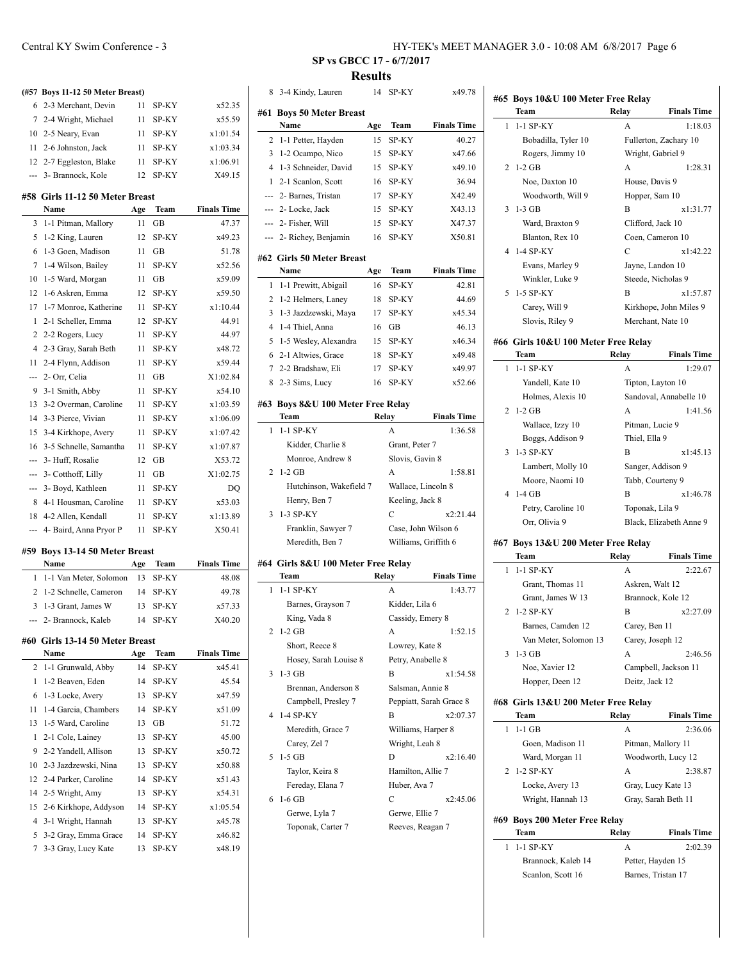| (#57 Boys 11-12 50 Meter Breast) |                                             |           |                |                    |
|----------------------------------|---------------------------------------------|-----------|----------------|--------------------|
| 6                                | 2-3 Merchant, Devin                         | 11        | SP-KY          | x52.35             |
| 7                                | 2-4 Wright, Michael                         | 11        | SP-KY          | x55.59             |
| 10                               | 2-5 Neary, Evan                             | 11        | SP-KY          | x1:01.54           |
| 11                               | 2-6 Johnston, Jack                          | 11        | SP-KY          | x1:03.34           |
| 12                               | 2-7 Eggleston, Blake                        | 11        | SP-KY          | x1:06.91           |
| ---                              | 3- Brannock, Kole                           | 12        | SP-KY          | X49.15             |
|                                  |                                             |           |                |                    |
|                                  | #58 Girls 11-12 50 Meter Breast<br>Name     | Age       | Team           | <b>Finals Time</b> |
| 3                                | 1-1 Pitman, Mallory                         | 11        | GВ             | 47.37              |
| 5                                | 1-2 King, Lauren                            | 12        | SP-KY          | x49.23             |
| 6                                | 1-3 Goen, Madison                           | 11        | GВ             | 51.78              |
| 7                                | 1-4 Wilson, Bailey                          | 11        | SP-KY          | x52.56             |
| 10                               | 1-5 Ward, Morgan                            | 11        | GВ             | x59.09             |
| 12                               | 1-6 Askren, Emma                            | 12        | SP-KY          | x59.50             |
| 17                               | 1-7 Monroe, Katherine                       | 11        | SP-KY          | x1:10.44           |
| 1                                | 2-1 Scheller, Emma                          | 12        | SP-KY          | 44.91              |
| 2                                | 2-2 Rogers, Lucy                            | 11        | SP-KY          | 44.97              |
| 4                                | 2-3 Gray, Sarah Beth                        | 11        | SP-KY          | x48.72             |
| 11                               | 2-4 Flynn, Addison                          | 11        | SP-KY          | x59.44             |
| ---                              | 2- Orr, Celia                               | 11        | GВ             | X1:02.84           |
| 9                                | 3-1 Smith, Abby                             | 11        | SP-KY          | x54.10             |
| 13                               | 3-2 Overman, Caroline                       | 11        | SP-KY          | x1:03.59           |
| 14                               | 3-3 Pierce, Vivian                          | 11        | SP-KY          | x1:06.09           |
| 15                               |                                             | 11        | SP-KY          |                    |
|                                  | 3-4 Kirkhope, Avery                         |           | SP-KY          | x1:07.42           |
| 16<br>---                        | 3-5 Schnelle, Samantha                      | 11<br>12  |                | x1:07.87           |
|                                  | 3- Huff, Rosalie                            |           | GВ             | X53.72             |
|                                  | 3- Cotthoff, Lilly                          | 11        | GВ             | X1:02.75           |
| ---                              | 3- Boyd, Kathleen                           | 11        | SP-KY          | DQ                 |
| 8                                | 4-1 Housman, Caroline                       | 11        | SP-KY          | x53.03             |
| 18                               | 4-2 Allen, Kendall                          | 11        | SP-KY          | x1:13.89           |
| ---                              | 4- Baird, Anna Pryor P                      | 11        | SP-KY          | X50.41             |
|                                  | #59 Boys 13-14 50 Meter Breast              |           |                |                    |
|                                  | Name                                        | Age       |                |                    |
| 1                                | 1-1 Van Meter, Solomon                      |           | Team           | <b>Finals Time</b> |
| 2                                |                                             | 13        | SP-KY          | 48.08              |
|                                  | 1-2 Schnelle, Cameron                       | 14        | SP-KY          | 49.78              |
| 3                                | 1-3 Grant, James W                          | 13        | SP-KY          | x57.33             |
|                                  | 2- Brannock, Kaleb                          | 14        | SP-KY          | X40.20             |
|                                  |                                             |           |                |                    |
|                                  | #60 Girls 13-14 50 Meter Breast<br>Name     |           |                |                    |
| 2                                | 1-1 Grunwald, Abby                          | Age<br>14 | Team           | <b>Finals Time</b> |
|                                  |                                             |           | SP-KY          | x45.41             |
| 1                                | 1-2 Beaven, Eden                            | 14        | SP-KY          | 45.54              |
| 6                                | 1-3 Locke, Avery                            | 13        | SP-KY          | x47.59             |
| 11                               | 1-4 Garcia, Chambers                        | 14        | SP-KY          | x51.09             |
| 13                               | 1-5 Ward, Caroline                          | 13        | GВ             | 51.72              |
| 1                                | 2-1 Cole, Lainey                            | 13        | SP-KY          | 45.00              |
| 9                                | 2-2 Yandell, Allison                        | 13        | SP-KY          | x50.72             |
| 10                               | 2-3 Jazdzewski, Nina                        | 13        | SP-KY          | x50.88             |
| 12                               | 2-4 Parker, Caroline                        | 14        | SP-KY          | x51.43             |
| 14                               | 2-5 Wright, Amy                             | 13        | SP-KY          | x54.31             |
| 15                               | 2-6 Kirkhope, Addyson                       | 14        | SP-KY          | x1:05.54           |
| 4                                | 3-1 Wright, Hannah                          | 13        | SP-KY          | x45.78             |
| 5<br>7                           | 3-2 Gray, Emma Grace<br>3-3 Gray, Lucy Kate | 14<br>13  | SP-KY<br>SP-KY | x46.82<br>x48.19   |

# **SP vs GBCC 17 - 6/7/2017 Results**

 $\overline{\phantom{a}}$ 

 $\overline{\phantom{a}}$ 

 $\overline{a}$ 

 $\equiv$ 

| 8 | 3-4 Kindy, Lauren                         | 14    | SP-KY                   | x49.78             |
|---|-------------------------------------------|-------|-------------------------|--------------------|
|   | #61 Boys 50 Meter Breast                  |       |                         |                    |
|   | Name                                      | Age   | Team                    | <b>Finals Time</b> |
| 2 | 1-1 Petter, Hayden                        | 15    | SP-KY                   | 40.27              |
| 3 | 1-2 Ocampo, Nico                          | 15    | SP-KY                   | x47.66             |
| 4 | 1-3 Schneider, David                      | 15    | SP-KY                   | x49.10             |
| 1 | 2-1 Scanlon, Scott                        | 16    | SP-KY                   | 36.94              |
|   | --- 2- Barnes, Tristan                    | 17    | SP-KY                   | X42.49             |
|   | --- 2- Locke, Jack                        | 15    | SP-KY                   | X43.13             |
|   | --- 2- Fisher, Will                       | 15    | SP-KY                   | X47.37             |
|   | --- 2- Richey, Benjamin                   | 16    | SP-KY                   | X50.81             |
|   | #62 Girls 50 Meter Breast                 |       |                         |                    |
|   | Name                                      | Age   | <b>Team</b>             | <b>Finals Time</b> |
| 1 | 1-1 Prewitt, Abigail                      | 16    | SP-KY                   | 42.81              |
| 2 | 1-2 Helmers, Laney                        | 18    | SP-KY                   | 44.69              |
| 3 | 1-3 Jazdzewski, Maya                      | 17    | SP-KY                   | x45.34             |
| 4 | 1-4 Thiel, Anna                           | 16    | GВ                      | 46.13              |
| 5 | 1-5 Wesley, Alexandra                     | 15    | SP-KY                   | x46.34             |
| 6 | 2-1 Altwies, Grace                        | 18    | SP-KY                   | x49.48             |
| 7 | 2-2 Bradshaw, Eli                         | 17    | SP-KY                   | x49.97             |
| 8 | 2-3 Sims, Lucy                            | 16    | SP-KY                   | x52.66             |
|   | #63 Boys 8&U 100 Meter Free Relay<br>Team |       |                         |                    |
|   | 1-1 SP-KY                                 | Relay |                         | <b>Finals Time</b> |
| 1 |                                           |       | A                       | 1:36.58            |
|   | Kidder, Charlie 8                         |       | Grant, Peter 7          |                    |
|   | Monroe, Andrew 8                          |       | Slovis, Gavin 8         |                    |
| 2 | $1-2$ GB                                  |       | A                       | 1:58.81            |
|   | Hutchinson, Wakefield 7                   |       | Wallace, Lincoln 8      |                    |
|   | Henry, Ben 7                              |       | Keeling, Jack 8         |                    |
| 3 | 1-3 SP-KY                                 |       | C                       | x2:21.44           |
|   | Franklin, Sawyer 7                        |       | Case, John Wilson 6     |                    |
|   | Meredith, Ben 7                           |       | Williams, Griffith 6    |                    |
|   | #64 Girls 8&U 100 Meter Free Relay        |       |                         |                    |
|   | Team                                      |       | Relay                   | <b>Finals Time</b> |
| 1 | 1-1 SP-KY                                 |       | A                       | 1:43.77            |
|   | Barnes, Grayson 7                         |       | Kidder, Lila 6          |                    |
|   | King, Vada 8                              |       | Cassidy, Emery 8        |                    |
| 2 | $1-2$ GB                                  |       | А                       | 1:52.15            |
|   | Short, Reece 8                            |       | Lowrey, Kate 8          |                    |
|   | Hosey, Sarah Louise 8                     |       | Petry, Anabelle 8       |                    |
| 3 | $1-3$ GB                                  |       | В                       | x1:54.58           |
|   | Brennan, Anderson 8                       |       | Salsman, Annie 8        |                    |
|   | Campbell, Presley 7                       |       | Peppiatt, Sarah Grace 8 |                    |
| 4 | 1-4 SP-KY                                 |       | в                       | x2:07.37           |
|   | Meredith, Grace 7                         |       | Williams, Harper 8      |                    |
|   | Carey, Zel 7                              |       | Wright, Leah 8          |                    |
|   |                                           |       |                         | x2:16.40           |
| 5 | $1-5$ GB                                  |       | D                       |                    |
|   | Taylor, Keira 8                           |       | Hamilton, Allie 7       |                    |
|   | Fereday, Elana 7                          |       | Huber, Ava 7            |                    |
| 6 | $1-6$ GB                                  |       | C                       | x2:45.06           |
|   |                                           |       |                         |                    |
|   | Gerwe, Lyla 7                             |       | Gerwe, Ellie 7          |                    |
|   | Toponak, Carter 7                         |       | Reeves, Reagan 7        |                    |
|   |                                           |       |                         |                    |
|   |                                           |       |                         |                    |

| Team                                                                                     | Relay<br><b>Finals Time</b>                                                                                                                            |
|------------------------------------------------------------------------------------------|--------------------------------------------------------------------------------------------------------------------------------------------------------|
| 1-1 SP-KY<br>1                                                                           | 1:18.03<br>А                                                                                                                                           |
| Bobadilla, Tyler 10                                                                      | Fullerton, Zachary 10                                                                                                                                  |
| Rogers, Jimmy 10                                                                         | Wright, Gabriel 9                                                                                                                                      |
| $1-2$ GB<br>2                                                                            | A<br>1:28.31                                                                                                                                           |
| Noe, Daxton 10                                                                           | House, Davis 9                                                                                                                                         |
| Woodworth, Will 9                                                                        | Hopper, Sam 10                                                                                                                                         |
| $1-3$ GB<br>3                                                                            | B<br>x1:31.77                                                                                                                                          |
| Ward, Braxton 9                                                                          | Clifford, Jack 10                                                                                                                                      |
| Blanton, Rex 10                                                                          | Coen, Cameron 10                                                                                                                                       |
| $\overline{4}$<br>1-4 SP-KY                                                              | C<br>x1:42.22                                                                                                                                          |
| Evans, Marley 9                                                                          | Jayne, Landon 10                                                                                                                                       |
| Winkler, Luke 9                                                                          | Steede, Nicholas 9                                                                                                                                     |
| 1-5 SP-KY<br>5                                                                           | B<br>x1:57.87                                                                                                                                          |
| Carey, Will 9                                                                            | Kirkhope, John Miles 9                                                                                                                                 |
|                                                                                          |                                                                                                                                                        |
| Slovis, Riley 9                                                                          | Merchant, Nate 10                                                                                                                                      |
| #66 Girls 10&U 100 Meter Free Relay                                                      |                                                                                                                                                        |
| Team                                                                                     | <b>Relay</b><br><b>Finals Time</b>                                                                                                                     |
| 1-1 SP-KY<br>1                                                                           | A<br>1:29.07                                                                                                                                           |
| Yandell, Kate 10                                                                         | Tipton, Layton 10                                                                                                                                      |
| Holmes, Alexis 10                                                                        | Sandoval, Annabelle 10                                                                                                                                 |
| $1-2$ GB<br>$\overline{2}$                                                               | A<br>1:41.56                                                                                                                                           |
| Wallace, Izzy 10                                                                         | Pitman, Lucie 9                                                                                                                                        |
| Boggs, Addison 9                                                                         | Thiel, Ella 9                                                                                                                                          |
| $1-3$ SP-KY<br>3                                                                         | B<br>x1:45.13                                                                                                                                          |
| Lambert, Molly 10                                                                        | Sanger, Addison 9                                                                                                                                      |
| Moore, Naomi 10                                                                          | Tabb, Courteny 9                                                                                                                                       |
| $1-4$ GB<br>4                                                                            | B<br>x1:46.78                                                                                                                                          |
|                                                                                          |                                                                                                                                                        |
|                                                                                          |                                                                                                                                                        |
| Petry, Caroline 10<br>Orr, Olivia 9                                                      | Toponak, Lila 9<br>Black, Elizabeth Anne 9                                                                                                             |
|                                                                                          |                                                                                                                                                        |
|                                                                                          |                                                                                                                                                        |
| Team                                                                                     | Relay<br><b>Finals Time</b>                                                                                                                            |
| $1-1$ SP-KY<br>1                                                                         | A                                                                                                                                                      |
| Grant, Thomas 11                                                                         | Askren, Walt 12                                                                                                                                        |
| Grant, James W 13                                                                        | Brannock, Kole 12                                                                                                                                      |
| $1-2$ SP-KY<br>2                                                                         | B                                                                                                                                                      |
| Barnes, Camden 12                                                                        | Carey, Ben 11                                                                                                                                          |
| Van Meter, Solomon 13                                                                    | Carey, Joseph 12                                                                                                                                       |
| 3<br>$1-3$ GB                                                                            | А                                                                                                                                                      |
| Noe, Xavier 12                                                                           | Campbell, Jackson 11                                                                                                                                   |
| #67 Boys 13&U 200 Meter Free Relay<br>Hopper, Deen 12                                    | Deitz, Jack 12                                                                                                                                         |
|                                                                                          |                                                                                                                                                        |
| Team                                                                                     | Relay                                                                                                                                                  |
| $1-1$ GB<br>1                                                                            | А                                                                                                                                                      |
|                                                                                          |                                                                                                                                                        |
| Goen, Madison 11                                                                         | Pitman, Mallory 11                                                                                                                                     |
| Ward, Morgan 11                                                                          | Woodworth, Lucy 12                                                                                                                                     |
| 1-2 SP-KY<br>2                                                                           | A                                                                                                                                                      |
| Locke, Avery 13                                                                          | Gray, Lucy Kate 13                                                                                                                                     |
| Wright, Hannah 13                                                                        | Gray, Sarah Beth 11                                                                                                                                    |
|                                                                                          |                                                                                                                                                        |
| Team                                                                                     | Relay                                                                                                                                                  |
| #68 Girls 13&U 200 Meter Free Relay<br>#69 Boys 200 Meter Free Relay<br>$1-1$ SP-KY<br>1 | A                                                                                                                                                      |
|                                                                                          |                                                                                                                                                        |
| Brannock, Kaleb 14<br>Scanlon, Scott 16                                                  | 2:22.67<br>x2:27.09<br>2:46.56<br><b>Finals Time</b><br>2:36.06<br>2:38.87<br><b>Finals Time</b><br>2:02.39<br>Petter, Hayden 15<br>Barnes, Tristan 17 |